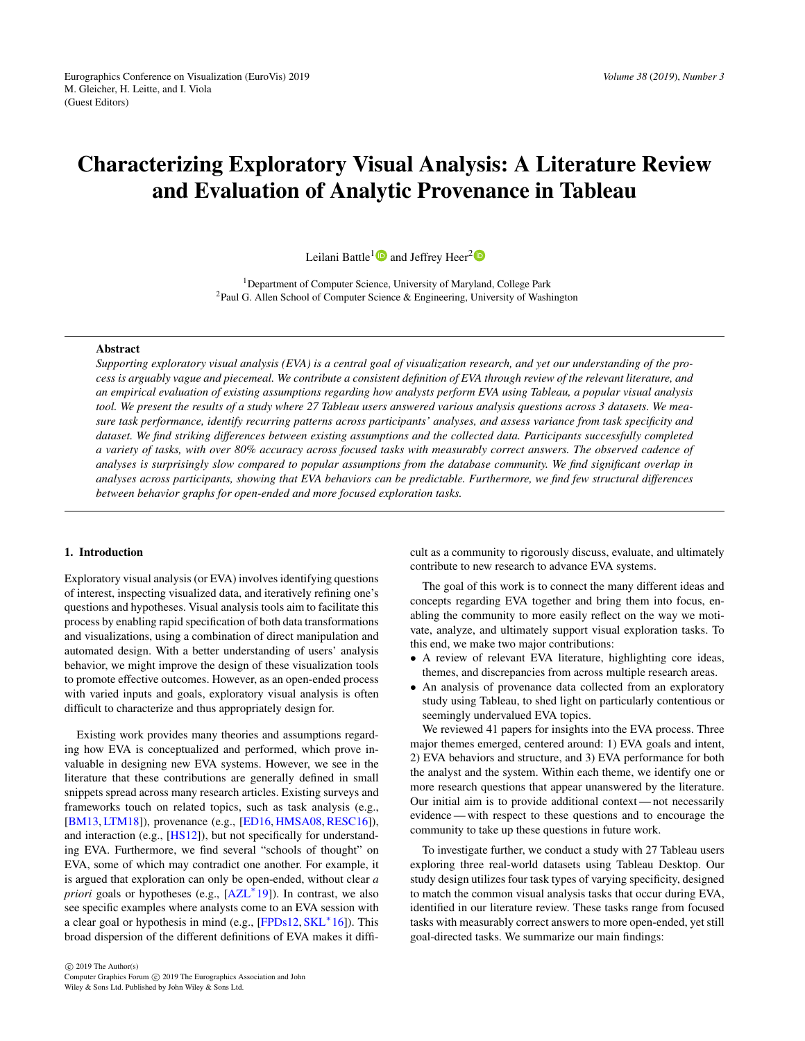# <span id="page-0-0"></span>Characterizing Exploratory Visual Analysis: A Literature Review and Evaluation of Analytic Provenance in Tableau

Leilani Battle<sup>[1](https://orcid.org/0000-0003-3870-636X)</sup> $\bullet$  and Jeffrey Heer<sup>[2](https://orcid.org/ 0000-0002-6175-1655)</sup>

<sup>1</sup>Department of Computer Science, University of Maryland, College Park <sup>2</sup>Paul G. Allen School of Computer Science & Engineering, University of Washington

#### Abstract

*Supporting exploratory visual analysis (EVA) is a central goal of visualization research, and yet our understanding of the process is arguably vague and piecemeal. We contribute a consistent definition of EVA through review of the relevant literature, and an empirical evaluation of existing assumptions regarding how analysts perform EVA using Tableau, a popular visual analysis tool. We present the results of a study where 27 Tableau users answered various analysis questions across 3 datasets. We measure task performance, identify recurring patterns across participants' analyses, and assess variance from task specificity and dataset. We find striking differences between existing assumptions and the collected data. Participants successfully completed a variety of tasks, with over 80% accuracy across focused tasks with measurably correct answers. The observed cadence of analyses is surprisingly slow compared to popular assumptions from the database community. We find significant overlap in analyses across participants, showing that EVA behaviors can be predictable. Furthermore, we find few structural differences between behavior graphs for open-ended and more focused exploration tasks.*

#### 1. Introduction

Exploratory visual analysis (or EVA) involves identifying questions of interest, inspecting visualized data, and iteratively refining one's questions and hypotheses. Visual analysis tools aim to facilitate this process by enabling rapid specification of both data transformations and visualizations, using a combination of direct manipulation and automated design. With a better understanding of users' analysis behavior, we might improve the design of these visualization tools to promote effective outcomes. However, as an open-ended process with varied inputs and goals, exploratory visual analysis is often difficult to characterize and thus appropriately design for.

Existing work provides many theories and assumptions regarding how EVA is conceptualized and performed, which prove invaluable in designing new EVA systems. However, we see in the literature that these contributions are generally defined in small snippets spread across many research articles. Existing surveys and frameworks touch on related topics, such as task analysis (e.g., [\[BM13,](#page-12-0) [LTM18\]](#page-13-0)), provenance (e.g., [\[ED16,](#page-12-1) [HMSA08,](#page-13-1) [RESC16\]](#page-13-2)), and interaction (e.g., [\[HS12\]](#page-13-3)), but not specifically for understanding EVA. Furthermore, we find several "schools of thought" on EVA, some of which may contradict one another. For example, it is argued that exploration can only be open-ended, without clear *a priori* goals or hypotheses (e.g., [\[AZL](#page-12-2)<sup>\*</sup>19]). In contrast, we also see specific examples where analysts come to an EVA session with a clear goal or hypothesis in mind (e.g., [\[FPDs12,](#page-12-3) [SKL](#page-14-0)<sup>\*</sup>16]). This broad dispersion of the different definitions of EVA makes it diffi-

 $\circ$  2019 The Author(s) Computer Graphics Forum  $\odot$  2019 The Eurographics Association and John Wiley & Sons Ltd. Published by John Wiley & Sons Ltd.

cult as a community to rigorously discuss, evaluate, and ultimately contribute to new research to advance EVA systems.

The goal of this work is to connect the many different ideas and concepts regarding EVA together and bring them into focus, enabling the community to more easily reflect on the way we motivate, analyze, and ultimately support visual exploration tasks. To this end, we make two major contributions:

- A review of relevant EVA literature, highlighting core ideas, themes, and discrepancies from across multiple research areas.
- An analysis of provenance data collected from an exploratory study using Tableau, to shed light on particularly contentious or seemingly undervalued EVA topics.

We reviewed 41 papers for insights into the EVA process. Three major themes emerged, centered around: 1) EVA goals and intent, 2) EVA behaviors and structure, and 3) EVA performance for both the analyst and the system. Within each theme, we identify one or more research questions that appear unanswered by the literature. Our initial aim is to provide additional context — not necessarily evidence — with respect to these questions and to encourage the community to take up these questions in future work.

To investigate further, we conduct a study with 27 Tableau users exploring three real-world datasets using Tableau Desktop. Our study design utilizes four task types of varying specificity, designed to match the common visual analysis tasks that occur during EVA, identified in our literature review. These tasks range from focused tasks with measurably correct answers to more open-ended, yet still goal-directed tasks. We summarize our main findings: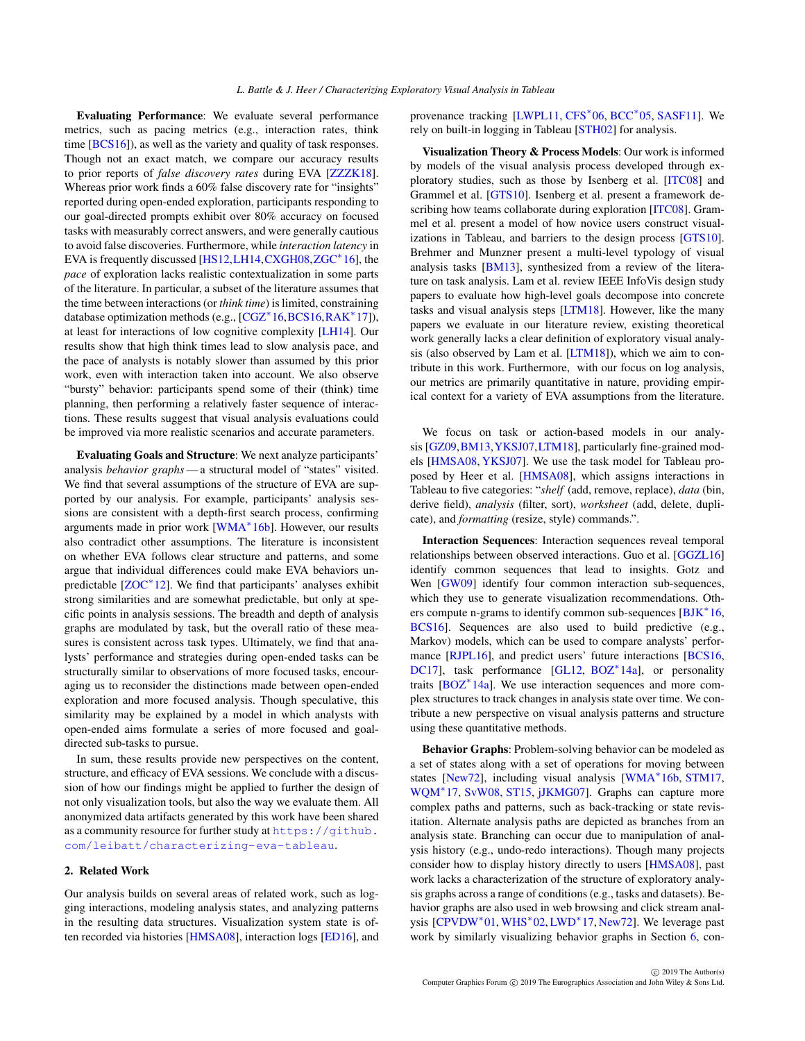<span id="page-1-0"></span>Evaluating Performance: We evaluate several performance metrics, such as pacing metrics (e.g., interaction rates, think time [\[BCS16\]](#page-12-4)), as well as the variety and quality of task responses. Though not an exact match, we compare our accuracy results to prior reports of *false discovery rates* during EVA [\[ZZZK18\]](#page-14-1). Whereas prior work finds a 60% false discovery rate for "insights" reported during open-ended exploration, participants responding to our goal-directed prompts exhibit over 80% accuracy on focused tasks with measurably correct answers, and were generally cautious to avoid false discoveries. Furthermore, while *interaction latency* in EVA is frequently discussed [\[HS12,](#page-13-3)[LH14](#page-13-4)[,CXGH08,](#page-12-5)[ZGC](#page-14-2)<sup>∗</sup> 16], the *pace* of exploration lacks realistic contextualization in some parts of the literature. In particular, a subset of the literature assumes that the time between interactions (or *think time*) is limited, constraining database optimization methods (e.g., [\[CGZ](#page-12-6)<sup>\*</sup>16[,BCS16,](#page-12-4)[RAK](#page-13-5)<sup>\*</sup>17]), at least for interactions of low cognitive complexity [\[LH14\]](#page-13-4). Our results show that high think times lead to slow analysis pace, and the pace of analysts is notably slower than assumed by this prior work, even with interaction taken into account. We also observe "bursty" behavior: participants spend some of their (think) time planning, then performing a relatively faster sequence of interactions. These results suggest that visual analysis evaluations could be improved via more realistic scenarios and accurate parameters.

Evaluating Goals and Structure: We next analyze participants' analysis *behavior graphs* — a structural model of "states" visited. We find that several assumptions of the structure of EVA are supported by our analysis. For example, participants' analysis sessions are consistent with a depth-first search process, confirming arguments made in prior work [\[WMA](#page-14-3)<sup>∗</sup> 16b]. However, our results also contradict other assumptions. The literature is inconsistent on whether EVA follows clear structure and patterns, and some argue that individual differences could make EVA behaviors un-predictable [\[ZOC](#page-14-4)<sup>\*</sup>12]. We find that participants' analyses exhibit strong similarities and are somewhat predictable, but only at specific points in analysis sessions. The breadth and depth of analysis graphs are modulated by task, but the overall ratio of these measures is consistent across task types. Ultimately, we find that analysts' performance and strategies during open-ended tasks can be structurally similar to observations of more focused tasks, encouraging us to reconsider the distinctions made between open-ended exploration and more focused analysis. Though speculative, this similarity may be explained by a model in which analysts with open-ended aims formulate a series of more focused and goaldirected sub-tasks to pursue.

In sum, these results provide new perspectives on the content, structure, and efficacy of EVA sessions. We conclude with a discussion of how our findings might be applied to further the design of not only visualization tools, but also the way we evaluate them. All anonymized data artifacts generated by this work have been shared as a community resource for further study at [https://github.](https://github.com/leibatt/characterizing-eva-tableau) [com/leibatt/characterizing-eva-tableau](https://github.com/leibatt/characterizing-eva-tableau).

## 2. Related Work

Our analysis builds on several areas of related work, such as logging interactions, modeling analysis states, and analyzing patterns in the resulting data structures. Visualization system state is often recorded via histories [\[HMSA08\]](#page-13-1), interaction logs [\[ED16\]](#page-12-1), and

provenance tracking [\[LWPL11,](#page-13-6) [CFS](#page-12-7)<sup>\*</sup>06, [BCC](#page-12-8)<sup>\*</sup>05, [SASF11\]](#page-14-5). We rely on built-in logging in Tableau [\[STH02\]](#page-14-6) for analysis.

Visualization Theory & Process Models: Our work is informed by models of the visual analysis process developed through exploratory studies, such as those by Isenberg et al. [\[ITC08\]](#page-13-7) and Grammel et al. [\[GTS10\]](#page-13-8). Isenberg et al. present a framework de-scribing how teams collaborate during exploration [\[ITC08\]](#page-13-7). Grammel et al. present a model of how novice users construct visualizations in Tableau, and barriers to the design process [\[GTS10\]](#page-13-8). Brehmer and Munzner present a multi-level typology of visual analysis tasks [\[BM13\]](#page-12-0), synthesized from a review of the literature on task analysis. Lam et al. review IEEE InfoVis design study papers to evaluate how high-level goals decompose into concrete tasks and visual analysis steps [\[LTM18\]](#page-13-0). However, like the many papers we evaluate in our literature review, existing theoretical work generally lacks a clear definition of exploratory visual analysis (also observed by Lam et al. [\[LTM18\]](#page-13-0)), which we aim to contribute in this work. Furthermore, with our focus on log analysis, our metrics are primarily quantitative in nature, providing empirical context for a variety of EVA assumptions from the literature.

We focus on task or action-based models in our analysis [\[GZ09](#page-13-9)[,BM13,](#page-12-0)[YKSJ07,](#page-14-7)[LTM18\]](#page-13-0), particularly fine-grained models [\[HMSA08,](#page-13-1) [YKSJ07\]](#page-14-7). We use the task model for Tableau proposed by Heer et al. [\[HMSA08\]](#page-13-1), which assigns interactions in Tableau to five categories: "*shelf* (add, remove, replace), *data* (bin, derive field), *analysis* (filter, sort), *worksheet* (add, delete, duplicate), and *formatting* (resize, style) commands.".

Interaction Sequences: Interaction sequences reveal temporal relationships between observed interactions. Guo et al. [\[GGZL16\]](#page-12-9) identify common sequences that lead to insights. Gotz and Wen [\[GW09\]](#page-13-10) identify four common interaction sub-sequences, which they use to generate visualization recommendations. Oth-ers compute n-grams to identify common sub-sequences [\[BJK](#page-12-10)<sup>∗</sup>16, [BCS16\]](#page-12-4). Sequences are also used to build predictive (e.g., Markov) models, which can be used to compare analysts' performance [\[RJPL16\]](#page-14-8), and predict users' future interactions [\[BCS16,](#page-12-4) [DC17\]](#page-12-11), task performance [\[GL12,](#page-12-12) [BOZ](#page-12-13)<sup>\*</sup>14a], or personality traits [\[BOZ](#page-12-13)<sup>\*</sup>14a]. We use interaction sequences and more complex structures to track changes in analysis state over time. We contribute a new perspective on visual analysis patterns and structure using these quantitative methods.

Behavior Graphs: Problem-solving behavior can be modeled as a set of states along with a set of operations for moving between states [\[New72\]](#page-13-11), including visual analysis [\[WMA](#page-14-3)<sup>\*</sup>16b, [STM17,](#page-14-9) [WQM](#page-14-10)<sup>∗</sup> 17, [SvW08,](#page-14-11) [ST15,](#page-14-12) [jJKMG07\]](#page-13-12). Graphs can capture more complex paths and patterns, such as back-tracking or state revisitation. Alternate analysis paths are depicted as branches from an analysis state. Branching can occur due to manipulation of analysis history (e.g., undo-redo interactions). Though many projects consider how to display history directly to users [\[HMSA08\]](#page-13-1), past work lacks a characterization of the structure of exploratory analysis graphs across a range of conditions (e.g., tasks and datasets). Behavior graphs are also used in web browsing and click stream anal-ysis [\[CPVDW](#page-12-14)<sup>\*</sup>01, [WHS](#page-14-13)<sup>\*</sup>02, [LWD](#page-13-13)<sup>\*</sup>17, [New72\]](#page-13-11). We leverage past work by similarly visualizing behavior graphs in Section [6,](#page-8-0) con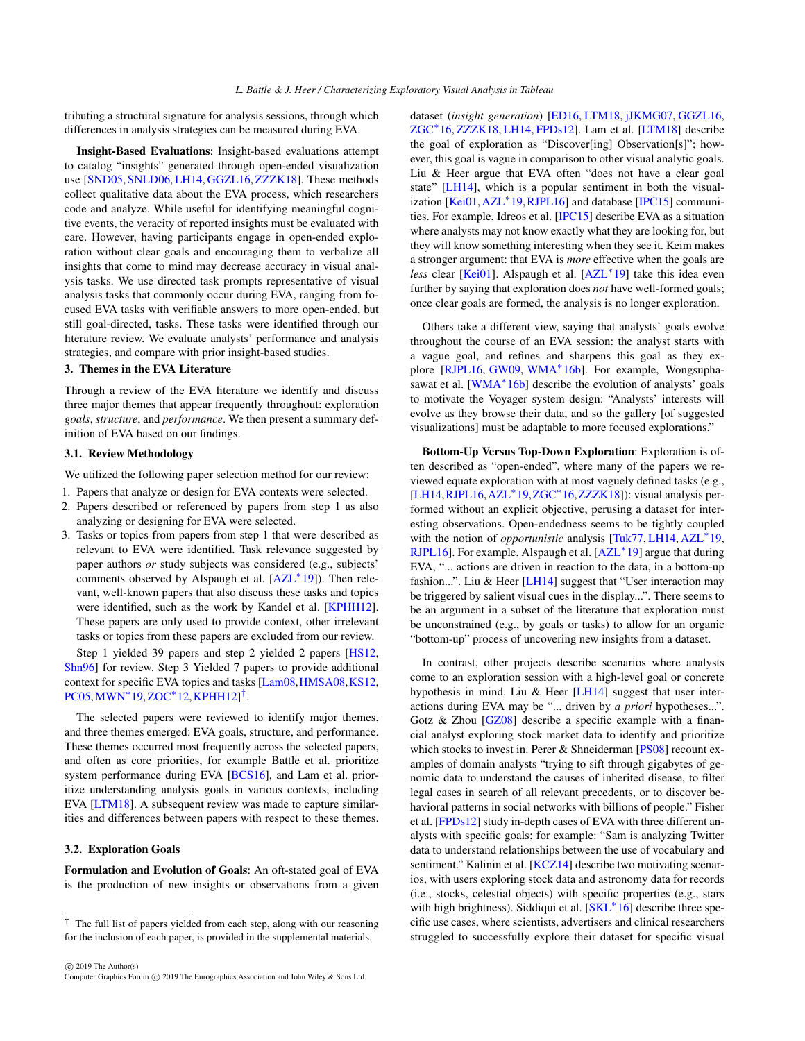<span id="page-2-2"></span>tributing a structural signature for analysis sessions, through which differences in analysis strategies can be measured during EVA.

Insight-Based Evaluations: Insight-based evaluations attempt to catalog "insights" generated through open-ended visualization use [\[SND05,](#page-14-14) [SNLD06,](#page-14-15) [LH14,](#page-13-4) [GGZL16,](#page-12-9) [ZZZK18\]](#page-14-1). These methods collect qualitative data about the EVA process, which researchers code and analyze. While useful for identifying meaningful cognitive events, the veracity of reported insights must be evaluated with care. However, having participants engage in open-ended exploration without clear goals and encouraging them to verbalize all insights that come to mind may decrease accuracy in visual analysis tasks. We use directed task prompts representative of visual analysis tasks that commonly occur during EVA, ranging from focused EVA tasks with verifiable answers to more open-ended, but still goal-directed, tasks. These tasks were identified through our literature review. We evaluate analysts' performance and analysis strategies, and compare with prior insight-based studies.

## 3. Themes in the EVA Literature

Through a review of the EVA literature we identify and discuss three major themes that appear frequently throughout: exploration *goals*, *structure*, and *performance*. We then present a summary definition of EVA based on our findings.

## 3.1. Review Methodology

We utilized the following paper selection method for our review:

- 1. Papers that analyze or design for EVA contexts were selected.
- 2. Papers described or referenced by papers from step 1 as also analyzing or designing for EVA were selected.
- 3. Tasks or topics from papers from step 1 that were described as relevant to EVA were identified. Task relevance suggested by paper authors *or* study subjects was considered (e.g., subjects' comments observed by Alspaugh et al. [\[AZL](#page-12-2)<sup>∗</sup> 19]). Then relevant, well-known papers that also discuss these tasks and topics were identified, such as the work by Kandel et al. [\[KPHH12\]](#page-13-14). These papers are only used to provide context, other irrelevant tasks or topics from these papers are excluded from our review.

Step 1 yielded 39 papers and step 2 yielded 2 papers [\[HS12,](#page-13-3) [Shn96\]](#page-14-16) for review. Step 3 Yielded 7 papers to provide additional context for specific EVA topics and tasks [\[Lam08,](#page-13-15)[HMSA08,](#page-13-1)[KS12,](#page-13-16) [PC05,](#page-13-17) [MWN](#page-13-18)<sup>\*</sup>19, ZOC<sup>\*</sup>12, KPHH12]<sup>[†](#page-2-0)</sup>.

The selected papers were reviewed to identify major themes, and three themes emerged: EVA goals, structure, and performance. These themes occurred most frequently across the selected papers, and often as core priorities, for example Battle et al. prioritize system performance during EVA [\[BCS16\]](#page-12-4), and Lam et al. prioritize understanding analysis goals in various contexts, including EVA [\[LTM18\]](#page-13-0). A subsequent review was made to capture similarities and differences between papers with respect to these themes.

## <span id="page-2-1"></span>3.2. Exploration Goals

Formulation and Evolution of Goals: An oft-stated goal of EVA is the production of new insights or observations from a given

dataset (*insight generation*) [\[ED16,](#page-12-1) [LTM18,](#page-13-0) [jJKMG07,](#page-13-12) [GGZL16,](#page-12-9) [ZGC](#page-14-2)<sup>∗</sup> 16, [ZZZK18,](#page-14-1) [LH14,](#page-13-4) [FPDs12\]](#page-12-3). Lam et al. [\[LTM18\]](#page-13-0) describe the goal of exploration as "Discover[ing] Observation[s]"; however, this goal is vague in comparison to other visual analytic goals. Liu & Heer argue that EVA often "does not have a clear goal state" [\[LH14\]](#page-13-4), which is a popular sentiment in both the visualization [\[Kei01,](#page-13-19)[AZL](#page-12-2)<sup>∗</sup> 19,[RJPL16\]](#page-14-8) and database [\[IPC15\]](#page-13-20) communities. For example, Idreos et al. [\[IPC15\]](#page-13-20) describe EVA as a situation where analysts may not know exactly what they are looking for, but they will know something interesting when they see it. Keim makes a stronger argument: that EVA is *more* effective when the goals are *less* clear [\[Kei01\]](#page-13-19). Alspaugh et al. [\[AZL](#page-12-2)<sup>∗</sup> 19] take this idea even further by saying that exploration does *not* have well-formed goals; once clear goals are formed, the analysis is no longer exploration.

Others take a different view, saying that analysts' goals evolve throughout the course of an EVA session: the analyst starts with a vague goal, and refines and sharpens this goal as they ex-plore [\[RJPL16,](#page-14-8) [GW09,](#page-13-10) [WMA](#page-14-3)<sup>\*</sup>16b]. For example, Wongsupha-sawat et al. [\[WMA](#page-14-3)<sup>\*</sup>16b] describe the evolution of analysts' goals to motivate the Voyager system design: "Analysts' interests will evolve as they browse their data, and so the gallery [of suggested visualizations] must be adaptable to more focused explorations."

Bottom-Up Versus Top-Down Exploration: Exploration is often described as "open-ended", where many of the papers we reviewed equate exploration with at most vaguely defined tasks (e.g., [\[LH14,](#page-13-4) [RJPL16,](#page-14-8) [AZL](#page-12-2)<sup>\*</sup>19, ZGC<sup>\*</sup>16, ZZZK18]): visual analysis performed without an explicit objective, perusing a dataset for interesting observations. Open-endedness seems to be tightly coupled with the notion of *opportunistic* analysis [\[Tuk77,](#page-14-17) [LH14,](#page-13-4) [AZL](#page-12-2)<sup>∗</sup>19, [RJPL16\]](#page-14-8). For example, Alspaugh et al. [\[AZL](#page-12-2)<sup>\*</sup>19] argue that during EVA, "... actions are driven in reaction to the data, in a bottom-up fashion...". Liu & Heer [\[LH14\]](#page-13-4) suggest that "User interaction may be triggered by salient visual cues in the display...". There seems to be an argument in a subset of the literature that exploration must be unconstrained (e.g., by goals or tasks) to allow for an organic "bottom-up" process of uncovering new insights from a dataset.

In contrast, other projects describe scenarios where analysts come to an exploration session with a high-level goal or concrete hypothesis in mind. Liu & Heer [\[LH14\]](#page-13-4) suggest that user interactions during EVA may be "... driven by *a priori* hypotheses...". Gotz & Zhou [\[GZ08\]](#page-13-21) describe a specific example with a financial analyst exploring stock market data to identify and prioritize which stocks to invest in. Perer & Shneiderman [\[PS08\]](#page-13-22) recount examples of domain analysts "trying to sift through gigabytes of genomic data to understand the causes of inherited disease, to filter legal cases in search of all relevant precedents, or to discover behavioral patterns in social networks with billions of people." Fisher et al. [\[FPDs12\]](#page-12-3) study in-depth cases of EVA with three different analysts with specific goals; for example: "Sam is analyzing Twitter data to understand relationships between the use of vocabulary and sentiment." Kalinin et al. [\[KCZ14\]](#page-13-23) describe two motivating scenarios, with users exploring stock data and astronomy data for records (i.e., stocks, celestial objects) with specific properties (e.g., stars with high brightness). Siddiqui et al. [\[SKL](#page-14-0)<sup>\*</sup>16] describe three specific use cases, where scientists, advertisers and clinical researchers struggled to successfully explore their dataset for specific visual

<span id="page-2-0"></span><sup>†</sup> The full list of papers yielded from each step, along with our reasoning for the inclusion of each paper, is provided in the supplemental materials.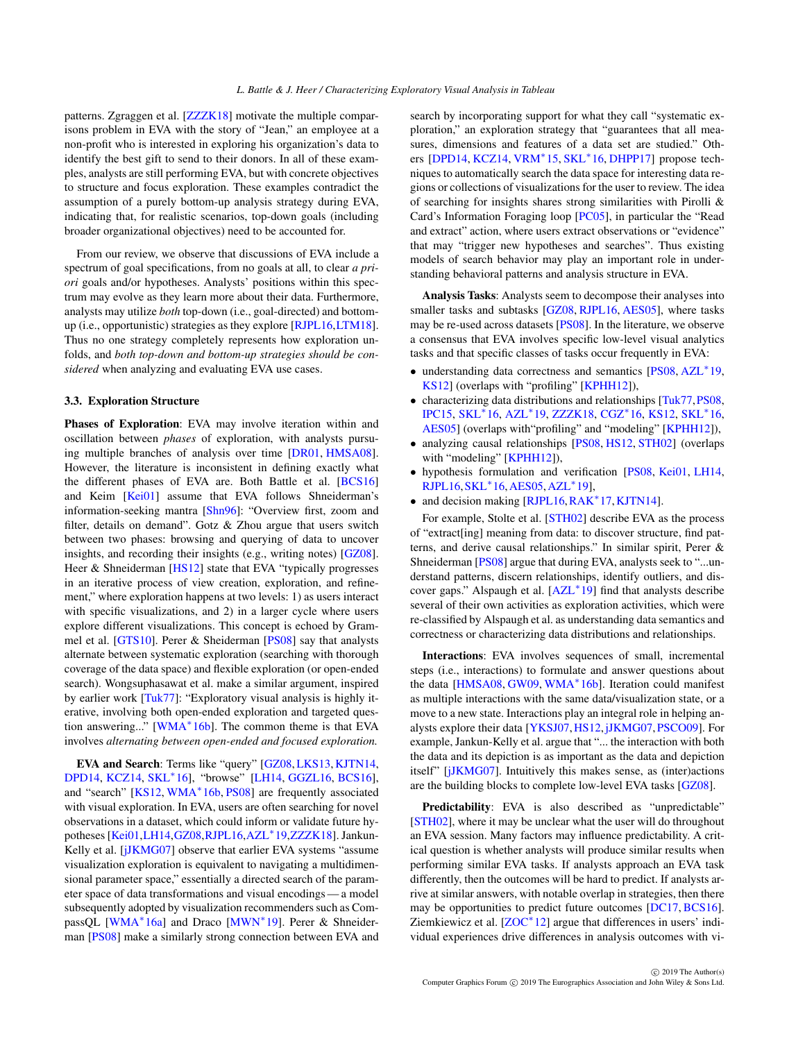<span id="page-3-1"></span>patterns. Zgraggen et al. [\[ZZZK18\]](#page-14-1) motivate the multiple comparisons problem in EVA with the story of "Jean," an employee at a non-profit who is interested in exploring his organization's data to identify the best gift to send to their donors. In all of these examples, analysts are still performing EVA, but with concrete objectives to structure and focus exploration. These examples contradict the assumption of a purely bottom-up analysis strategy during EVA, indicating that, for realistic scenarios, top-down goals (including broader organizational objectives) need to be accounted for.

From our review, we observe that discussions of EVA include a spectrum of goal specifications, from no goals at all, to clear *a priori* goals and/or hypotheses. Analysts' positions within this spectrum may evolve as they learn more about their data. Furthermore, analysts may utilize *both* top-down (i.e., goal-directed) and bottomup (i.e., opportunistic) strategies as they explore [\[RJPL16,](#page-14-8)[LTM18\]](#page-13-0). Thus no one strategy completely represents how exploration unfolds, and *both top-down and bottom-up strategies should be considered* when analyzing and evaluating EVA use cases.

#### <span id="page-3-0"></span>3.3. Exploration Structure

Phases of Exploration: EVA may involve iteration within and oscillation between *phases* of exploration, with analysts pursuing multiple branches of analysis over time [\[DR01,](#page-12-15) [HMSA08\]](#page-13-1). However, the literature is inconsistent in defining exactly what the different phases of EVA are. Both Battle et al. [\[BCS16\]](#page-12-4) and Keim [\[Kei01\]](#page-13-19) assume that EVA follows Shneiderman's information-seeking mantra [\[Shn96\]](#page-14-16): "Overview first, zoom and filter, details on demand". Gotz & Zhou argue that users switch between two phases: browsing and querying of data to uncover insights, and recording their insights (e.g., writing notes) [\[GZ08\]](#page-13-21). Heer & Shneiderman [\[HS12\]](#page-13-3) state that EVA "typically progresses in an iterative process of view creation, exploration, and refinement," where exploration happens at two levels: 1) as users interact with specific visualizations, and 2) in a larger cycle where users explore different visualizations. This concept is echoed by Grammel et al. [\[GTS10\]](#page-13-8). Perer & Sheiderman [\[PS08\]](#page-13-22) say that analysts alternate between systematic exploration (searching with thorough coverage of the data space) and flexible exploration (or open-ended search). Wongsuphasawat et al. make a similar argument, inspired by earlier work [\[Tuk77\]](#page-14-17): "Exploratory visual analysis is highly iterative, involving both open-ended exploration and targeted question answering..." [\[WMA](#page-14-3)<sup>∗</sup> 16b]. The common theme is that EVA involves *alternating between open-ended and focused exploration.*

EVA and Search: Terms like "query" [\[GZ08,](#page-13-21)[LKS13,](#page-13-24) [KJTN14,](#page-13-25) [DPD14,](#page-12-16) [KCZ14,](#page-13-23) [SKL](#page-14-0)<sup>∗</sup> 16], "browse" [\[LH14,](#page-13-4) [GGZL16,](#page-12-9) [BCS16\]](#page-12-4), and "search" [\[KS12,](#page-13-16) [WMA](#page-14-3)<sup>\*</sup>16b, [PS08\]](#page-13-22) are frequently associated with visual exploration. In EVA, users are often searching for novel observations in a dataset, which could inform or validate future hypotheses [\[Kei01](#page-13-19)[,LH14,](#page-13-4)[GZ08,](#page-13-21)[RJPL16,](#page-14-8)[AZL](#page-12-2)<sup>∗</sup> 19[,ZZZK18\]](#page-14-1). Jankun-Kelly et al. [*jJKMG07*] observe that earlier EVA systems "assume" visualization exploration is equivalent to navigating a multidimensional parameter space," essentially a directed search of the parameter space of data transformations and visual encodings— a model subsequently adopted by visualization recommenders such as Com-passQL [\[WMA](#page-14-18)<sup>\*</sup>16a] and Draco [\[MWN](#page-13-18)<sup>\*</sup>19]. Perer & Shneiderman [\[PS08\]](#page-13-22) make a similarly strong connection between EVA and search by incorporating support for what they call "systematic exploration," an exploration strategy that "guarantees that all measures, dimensions and features of a data set are studied." Oth-ers [\[DPD14,](#page-12-16) [KCZ14,](#page-13-23) [VRM](#page-14-19)<sup>\*</sup>15, [SKL](#page-14-0)<sup>\*</sup>16, [DHPP17\]](#page-12-17) propose techniques to automatically search the data space for interesting data regions or collections of visualizations for the user to review. The idea of searching for insights shares strong similarities with Pirolli & Card's Information Foraging loop [\[PC05\]](#page-13-17), in particular the "Read and extract" action, where users extract observations or "evidence" that may "trigger new hypotheses and searches". Thus existing models of search behavior may play an important role in understanding behavioral patterns and analysis structure in EVA.

Analysis Tasks: Analysts seem to decompose their analyses into smaller tasks and subtasks [\[GZ08,](#page-13-21) [RJPL16,](#page-14-8) [AES05\]](#page-12-18), where tasks may be re-used across datasets [\[PS08\]](#page-13-22). In the literature, we observe a consensus that EVA involves specific low-level visual analytics tasks and that specific classes of tasks occur frequently in EVA:

- understanding data correctness and semantics [\[PS08,](#page-13-22) [AZL](#page-12-2)<sup>∗</sup> 19, [KS12\]](#page-13-16) (overlaps with "profiling" [\[KPHH12\]](#page-13-14)),
- characterizing data distributions and relationships [\[Tuk77,](#page-14-17)[PS08,](#page-13-22) [IPC15,](#page-13-20) [SKL](#page-14-0)<sup>∗</sup> 16, [AZL](#page-12-2)<sup>∗</sup> 19, [ZZZK18,](#page-14-1) [CGZ](#page-12-6)<sup>∗</sup> 16, [KS12,](#page-13-16) [SKL](#page-14-0)<sup>∗</sup> 16, [AES05\]](#page-12-18) (overlaps with"profiling" and "modeling" [\[KPHH12\]](#page-13-14)),
- analyzing causal relationships [\[PS08,](#page-13-22) [HS12,](#page-13-3) [STH02\]](#page-14-6) (overlaps with "modeling" [\[KPHH12\]](#page-13-14)),
- hypothesis formulation and verification [\[PS08,](#page-13-22) [Kei01,](#page-13-19) [LH14,](#page-13-4) [RJPL16,](#page-14-8)[SKL](#page-14-0)<sup>∗</sup> 16,[AES05,](#page-12-18)[AZL](#page-12-2)<sup>∗</sup> 19],
- and decision making [\[RJPL16,](#page-14-8)[RAK](#page-13-5)<sup>∗</sup> 17,[KJTN14\]](#page-13-25).

For example, Stolte et al. [\[STH02\]](#page-14-6) describe EVA as the process of "extract[ing] meaning from data: to discover structure, find patterns, and derive causal relationships." In similar spirit, Perer & Shneiderman [\[PS08\]](#page-13-22) argue that during EVA, analysts seek to "...understand patterns, discern relationships, identify outliers, and discover gaps." Alspaugh et al. [\[AZL](#page-12-2)<sup>∗</sup> 19] find that analysts describe several of their own activities as exploration activities, which were re-classified by Alspaugh et al. as understanding data semantics and correctness or characterizing data distributions and relationships.

Interactions: EVA involves sequences of small, incremental steps (i.e., interactions) to formulate and answer questions about the data [\[HMSA08,](#page-13-1) [GW09,](#page-13-10) [WMA](#page-14-3)<sup>\*</sup>16b]. Iteration could manifest as multiple interactions with the same data/visualization state, or a move to a new state. Interactions play an integral role in helping analysts explore their data [\[YKSJ07,](#page-14-7)[HS12,](#page-13-3)[jJKMG07,](#page-13-12)[PSCO09\]](#page-13-26). For example, Jankun-Kelly et al. argue that "... the interaction with both the data and its depiction is as important as the data and depiction itself" [\[jJKMG07\]](#page-13-12). Intuitively this makes sense, as (inter)actions are the building blocks to complete low-level EVA tasks [\[GZ08\]](#page-13-21).

Predictability: EVA is also described as "unpredictable" [\[STH02\]](#page-14-6), where it may be unclear what the user will do throughout an EVA session. Many factors may influence predictability. A critical question is whether analysts will produce similar results when performing similar EVA tasks. If analysts approach an EVA task differently, then the outcomes will be hard to predict. If analysts arrive at similar answers, with notable overlap in strategies, then there may be opportunities to predict future outcomes [\[DC17,](#page-12-11) [BCS16\]](#page-12-4). Ziemkiewicz et al. [\[ZOC](#page-14-4)<sup>\*</sup>12] argue that differences in users' individual experiences drive differences in analysis outcomes with vi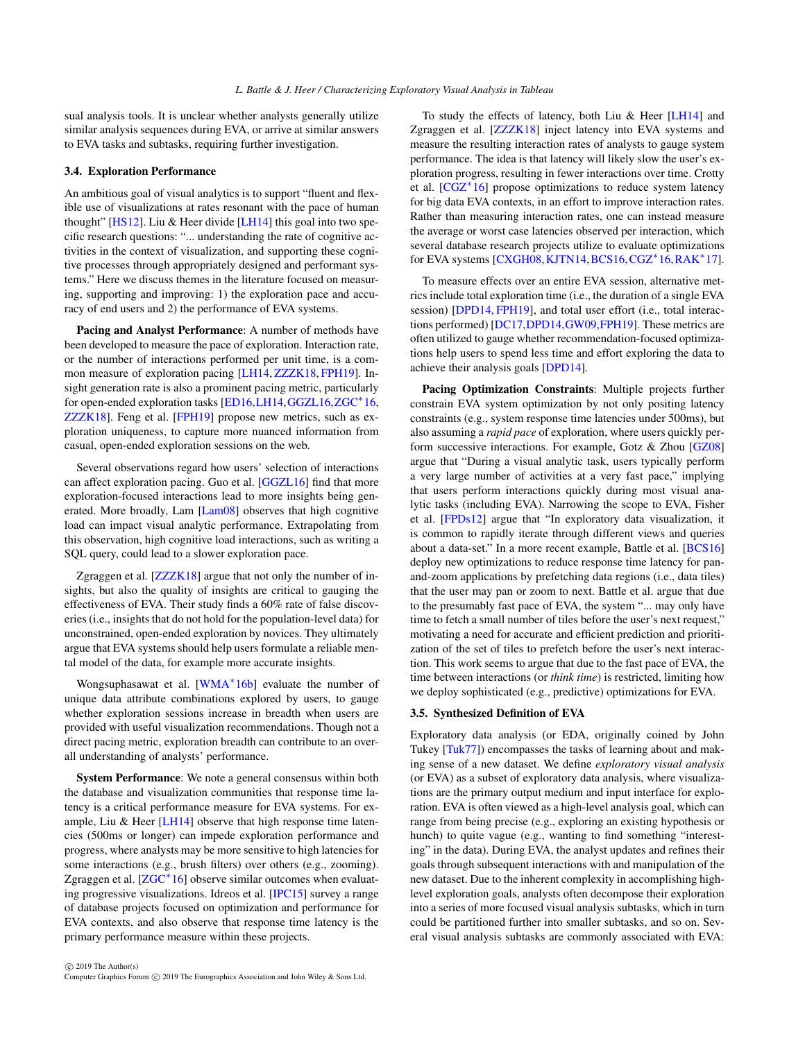<span id="page-4-1"></span>sual analysis tools. It is unclear whether analysts generally utilize similar analysis sequences during EVA, or arrive at similar answers to EVA tasks and subtasks, requiring further investigation.

## <span id="page-4-0"></span>3.4. Exploration Performance

An ambitious goal of visual analytics is to support "fluent and flexible use of visualizations at rates resonant with the pace of human thought" [\[HS12\]](#page-13-3). Liu & Heer divide [\[LH14\]](#page-13-4) this goal into two specific research questions: "... understanding the rate of cognitive activities in the context of visualization, and supporting these cognitive processes through appropriately designed and performant systems." Here we discuss themes in the literature focused on measuring, supporting and improving: 1) the exploration pace and accuracy of end users and 2) the performance of EVA systems.

Pacing and Analyst Performance: A number of methods have been developed to measure the pace of exploration. Interaction rate, or the number of interactions performed per unit time, is a common measure of exploration pacing [\[LH14,](#page-13-4) [ZZZK18,](#page-14-1) [FPH19\]](#page-12-19). Insight generation rate is also a prominent pacing metric, particularly for open-ended exploration tasks [\[ED16,](#page-12-1)[LH14,](#page-13-4)[GGZL16,](#page-12-9)[ZGC](#page-14-2)<sup>∗</sup> 16, [ZZZK18\]](#page-14-1). Feng et al. [\[FPH19\]](#page-12-19) propose new metrics, such as exploration uniqueness, to capture more nuanced information from casual, open-ended exploration sessions on the web.

Several observations regard how users' selection of interactions can affect exploration pacing. Guo et al. [\[GGZL16\]](#page-12-9) find that more exploration-focused interactions lead to more insights being gen-erated. More broadly, Lam [\[Lam08\]](#page-13-15) observes that high cognitive load can impact visual analytic performance. Extrapolating from this observation, high cognitive load interactions, such as writing a SQL query, could lead to a slower exploration pace.

Zgraggen et al. [\[ZZZK18\]](#page-14-1) argue that not only the number of insights, but also the quality of insights are critical to gauging the effectiveness of EVA. Their study finds a 60% rate of false discoveries (i.e., insights that do not hold for the population-level data) for unconstrained, open-ended exploration by novices. They ultimately argue that EVA systems should help users formulate a reliable mental model of the data, for example more accurate insights.

Wongsuphasawat et al. [\[WMA](#page-14-3)<sup>\*</sup>16b] evaluate the number of unique data attribute combinations explored by users, to gauge whether exploration sessions increase in breadth when users are provided with useful visualization recommendations. Though not a direct pacing metric, exploration breadth can contribute to an overall understanding of analysts' performance.

System Performance: We note a general consensus within both the database and visualization communities that response time latency is a critical performance measure for EVA systems. For example, Liu & Heer  $[LH14]$  observe that high response time latencies (500ms or longer) can impede exploration performance and progress, where analysts may be more sensitive to high latencies for some interactions (e.g., brush filters) over others (e.g., zooming). Zgraggen et al. [\[ZGC](#page-14-2)<sup>\*</sup>16] observe similar outcomes when evaluating progressive visualizations. Idreos et al. [\[IPC15\]](#page-13-20) survey a range of database projects focused on optimization and performance for EVA contexts, and also observe that response time latency is the primary performance measure within these projects.

To study the effects of latency, both Liu & Heer [\[LH14\]](#page-13-4) and Zgraggen et al. [\[ZZZK18\]](#page-14-1) inject latency into EVA systems and measure the resulting interaction rates of analysts to gauge system performance. The idea is that latency will likely slow the user's exploration progress, resulting in fewer interactions over time. Crotty et al. [\[CGZ](#page-12-6)<sup>\*</sup>16] propose optimizations to reduce system latency for big data EVA contexts, in an effort to improve interaction rates. Rather than measuring interaction rates, one can instead measure the average or worst case latencies observed per interaction, which several database research projects utilize to evaluate optimizations for EVA systems [\[CXGH08,](#page-12-5) [KJTN14,](#page-13-25) [BCS16,](#page-12-4) [CGZ](#page-12-6)<sup>\*</sup>16, [RAK](#page-13-5)<sup>\*</sup>17].

To measure effects over an entire EVA session, alternative metrics include total exploration time (i.e., the duration of a single EVA session) [\[DPD14,](#page-12-16) [FPH19\]](#page-12-19), and total user effort (i.e., total interactions performed) [\[DC17,](#page-12-11)[DPD14,](#page-12-16)[GW09,](#page-13-10)[FPH19\]](#page-12-19). These metrics are often utilized to gauge whether recommendation-focused optimizations help users to spend less time and effort exploring the data to achieve their analysis goals [\[DPD14\]](#page-12-16).

Pacing Optimization Constraints: Multiple projects further constrain EVA system optimization by not only positing latency constraints (e.g., system response time latencies under 500ms), but also assuming a *rapid pace* of exploration, where users quickly perform successive interactions. For example, Gotz & Zhou [\[GZ08\]](#page-13-21) argue that "During a visual analytic task, users typically perform a very large number of activities at a very fast pace," implying that users perform interactions quickly during most visual analytic tasks (including EVA). Narrowing the scope to EVA, Fisher et al. [\[FPDs12\]](#page-12-3) argue that "In exploratory data visualization, it is common to rapidly iterate through different views and queries about a data-set." In a more recent example, Battle et al. [\[BCS16\]](#page-12-4) deploy new optimizations to reduce response time latency for panand-zoom applications by prefetching data regions (i.e., data tiles) that the user may pan or zoom to next. Battle et al. argue that due to the presumably fast pace of EVA, the system "... may only have time to fetch a small number of tiles before the user's next request," motivating a need for accurate and efficient prediction and prioritization of the set of tiles to prefetch before the user's next interaction. This work seems to argue that due to the fast pace of EVA, the time between interactions (or *think time*) is restricted, limiting how we deploy sophisticated (e.g., predictive) optimizations for EVA.

## 3.5. Synthesized Definition of EVA

Exploratory data analysis (or EDA, originally coined by John Tukey [\[Tuk77\]](#page-14-17)) encompasses the tasks of learning about and making sense of a new dataset. We define *exploratory visual analysis* (or EVA) as a subset of exploratory data analysis, where visualizations are the primary output medium and input interface for exploration. EVA is often viewed as a high-level analysis goal, which can range from being precise (e.g., exploring an existing hypothesis or hunch) to quite vague (e.g., wanting to find something "interesting" in the data). During EVA, the analyst updates and refines their goals through subsequent interactions with and manipulation of the new dataset. Due to the inherent complexity in accomplishing highlevel exploration goals, analysts often decompose their exploration into a series of more focused visual analysis subtasks, which in turn could be partitioned further into smaller subtasks, and so on. Several visual analysis subtasks are commonly associated with EVA: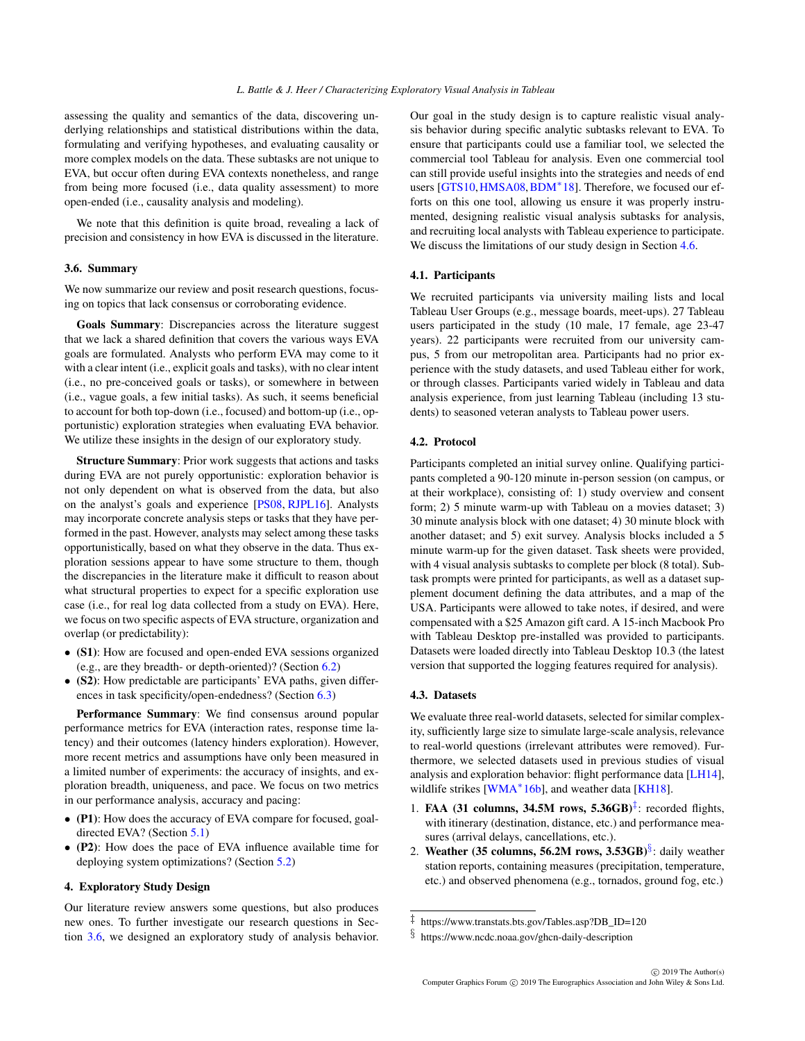<span id="page-5-3"></span>assessing the quality and semantics of the data, discovering underlying relationships and statistical distributions within the data, formulating and verifying hypotheses, and evaluating causality or more complex models on the data. These subtasks are not unique to EVA, but occur often during EVA contexts nonetheless, and range from being more focused (i.e., data quality assessment) to more open-ended (i.e., causality analysis and modeling).

We note that this definition is quite broad, revealing a lack of precision and consistency in how EVA is discussed in the literature.

# <span id="page-5-0"></span>3.6. Summary

We now summarize our review and posit research questions, focusing on topics that lack consensus or corroborating evidence.

Goals Summary: Discrepancies across the literature suggest that we lack a shared definition that covers the various ways EVA goals are formulated. Analysts who perform EVA may come to it with a clear intent (i.e., explicit goals and tasks), with no clear intent (i.e., no pre-conceived goals or tasks), or somewhere in between (i.e., vague goals, a few initial tasks). As such, it seems beneficial to account for both top-down (i.e., focused) and bottom-up (i.e., opportunistic) exploration strategies when evaluating EVA behavior. We utilize these insights in the design of our exploratory study.

Structure Summary: Prior work suggests that actions and tasks during EVA are not purely opportunistic: exploration behavior is not only dependent on what is observed from the data, but also on the analyst's goals and experience [\[PS08,](#page-13-22) [RJPL16\]](#page-14-8). Analysts may incorporate concrete analysis steps or tasks that they have performed in the past. However, analysts may select among these tasks opportunistically, based on what they observe in the data. Thus exploration sessions appear to have some structure to them, though the discrepancies in the literature make it difficult to reason about what structural properties to expect for a specific exploration use case (i.e., for real log data collected from a study on EVA). Here, we focus on two specific aspects of EVA structure, organization and overlap (or predictability):

- (S1): How are focused and open-ended EVA sessions organized (e.g., are they breadth- or depth-oriented)? (Section [6.2\)](#page-9-0)
- (S2): How predictable are participants' EVA paths, given differences in task specificity/open-endedness? (Section [6.3\)](#page-9-1)

Performance Summary: We find consensus around popular performance metrics for EVA (interaction rates, response time latency) and their outcomes (latency hinders exploration). However, more recent metrics and assumptions have only been measured in a limited number of experiments: the accuracy of insights, and exploration breadth, uniqueness, and pace. We focus on two metrics in our performance analysis, accuracy and pacing:

- (P1): How does the accuracy of EVA compare for focused, goaldirected EVA? (Section [5.1\)](#page-7-0)
- (P2): How does the pace of EVA influence available time for deploying system optimizations? (Section [5.2\)](#page-8-1)

## 4. Exploratory Study Design

Our literature review answers some questions, but also produces new ones. To further investigate our research questions in Section [3.6,](#page-5-0) we designed an exploratory study of analysis behavior.

Our goal in the study design is to capture realistic visual analysis behavior during specific analytic subtasks relevant to EVA. To ensure that participants could use a familiar tool, we selected the commercial tool Tableau for analysis. Even one commercial tool can still provide useful insights into the strategies and needs of end users [\[GTS10,](#page-13-8) [HMSA08,](#page-13-1) [BDM](#page-12-20)<sup>\*</sup>18]. Therefore, we focused our efforts on this one tool, allowing us ensure it was properly instrumented, designing realistic visual analysis subtasks for analysis, and recruiting local analysts with Tableau experience to participate. We discuss the limitations of our study design in Section [4.6.](#page-7-1)

## 4.1. Participants

We recruited participants via university mailing lists and local Tableau User Groups (e.g., message boards, meet-ups). 27 Tableau users participated in the study (10 male, 17 female, age 23-47 years). 22 participants were recruited from our university campus, 5 from our metropolitan area. Participants had no prior experience with the study datasets, and used Tableau either for work, or through classes. Participants varied widely in Tableau and data analysis experience, from just learning Tableau (including 13 students) to seasoned veteran analysts to Tableau power users.

## 4.2. Protocol

Participants completed an initial survey online. Qualifying participants completed a 90-120 minute in-person session (on campus, or at their workplace), consisting of: 1) study overview and consent form; 2) 5 minute warm-up with Tableau on a movies dataset; 3) 30 minute analysis block with one dataset; 4) 30 minute block with another dataset; and 5) exit survey. Analysis blocks included a 5 minute warm-up for the given dataset. Task sheets were provided, with 4 visual analysis subtasks to complete per block (8 total). Subtask prompts were printed for participants, as well as a dataset supplement document defining the data attributes, and a map of the USA. Participants were allowed to take notes, if desired, and were compensated with a \$25 Amazon gift card. A 15-inch Macbook Pro with Tableau Desktop pre-installed was provided to participants. Datasets were loaded directly into Tableau Desktop 10.3 (the latest version that supported the logging features required for analysis).

## 4.3. Datasets

We evaluate three real-world datasets, selected for similar complexity, sufficiently large size to simulate large-scale analysis, relevance to real-world questions (irrelevant attributes were removed). Furthermore, we selected datasets used in previous studies of visual analysis and exploration behavior: flight performance data [\[LH14\]](#page-13-4), wildlife strikes [\[WMA](#page-14-3)<sup>\*</sup>16b], and weather data [\[KH18\]](#page-13-27).

- 1. FAA (31 columns, 34.5M rows,  $5.36GB$ <sup>†</sup>: recorded flights, with itinerary (destination, distance, etc.) and performance measures (arrival delays, cancellations, etc.).
- 2. Weather (35 columns, 56.2M rows,  $3.53GB$ )<sup>[§](#page-5-2)</sup>: daily weather station reports, containing measures (precipitation, temperature, etc.) and observed phenomena (e.g., tornados, ground fog, etc.)

<span id="page-5-1"></span><sup>‡</sup> https://www.transtats.bts.gov/Tables.asp?DB\_ID=120

<span id="page-5-2"></span><sup>§</sup> https://www.ncdc.noaa.gov/ghcn-daily-description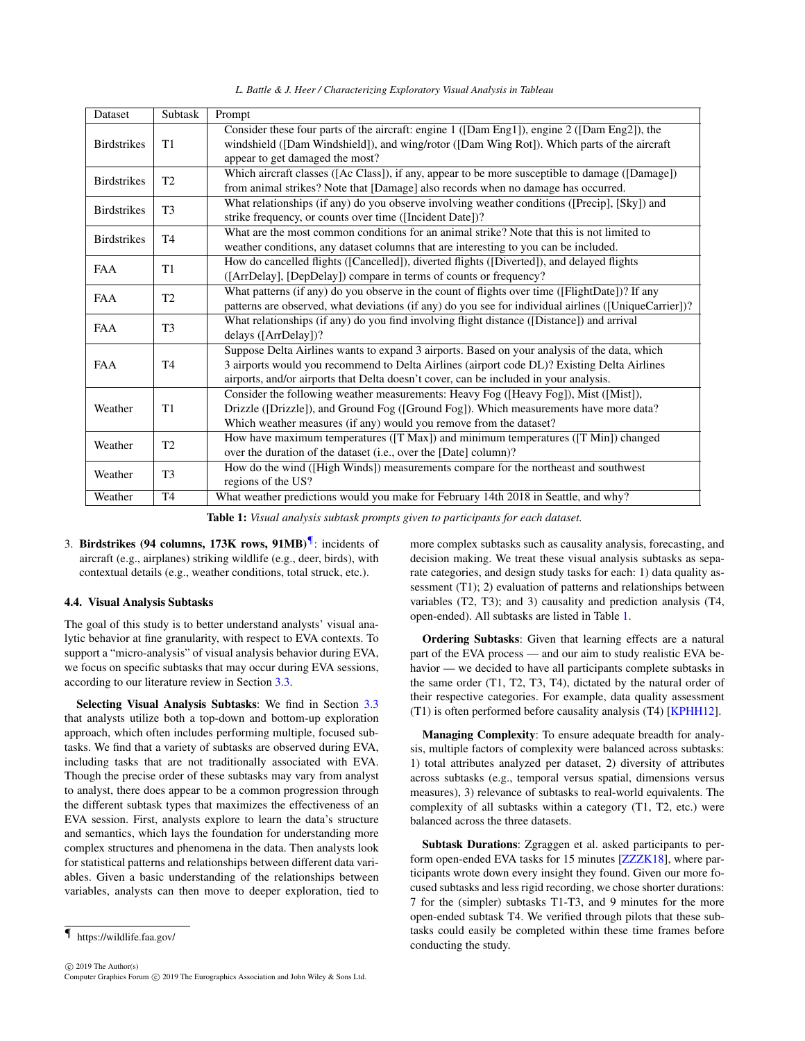<span id="page-6-2"></span><span id="page-6-1"></span>

| Dataset            | Subtask        | Prompt                                                                                                |
|--------------------|----------------|-------------------------------------------------------------------------------------------------------|
| <b>Birdstrikes</b> | T <sub>1</sub> | Consider these four parts of the aircraft: engine 1 ([Dam Eng1]), engine 2 ([Dam Eng2]), the          |
|                    |                | windshield ([Dam Windshield]), and wing/rotor ([Dam Wing Rot]). Which parts of the aircraft           |
|                    |                | appear to get damaged the most?                                                                       |
| <b>Birdstrikes</b> | T <sub>2</sub> | Which aircraft classes ([Ac Class]), if any, appear to be more susceptible to damage ([Damage])       |
|                    |                | from animal strikes? Note that [Damage] also records when no damage has occurred.                     |
| <b>Birdstrikes</b> | T <sub>3</sub> | What relationships (if any) do you observe involving weather conditions ([Precip], [Sky]) and         |
|                    |                | strike frequency, or counts over time ([Incident Date])?                                              |
| <b>Birdstrikes</b> | T4             | What are the most common conditions for an animal strike? Note that this is not limited to            |
|                    |                | weather conditions, any dataset columns that are interesting to you can be included.                  |
| <b>FAA</b>         | T1             | How do cancelled flights ([Cancelled]), diverted flights ([Diverted]), and delayed flights            |
|                    |                | ([ArrDelay], [DepDelay]) compare in terms of counts or frequency?                                     |
| <b>FAA</b>         | T <sub>2</sub> | What patterns (if any) do you observe in the count of flights over time ([FlightDate])? If any        |
|                    |                | patterns are observed, what deviations (if any) do you see for individual airlines ([UniqueCarrier])? |
| <b>FAA</b>         | T <sub>3</sub> | What relationships (if any) do you find involving flight distance ([Distance]) and arrival            |
|                    |                | delays ([ArrDelay])?                                                                                  |
| FAA                | T <sub>4</sub> | Suppose Delta Airlines wants to expand 3 airports. Based on your analysis of the data, which          |
|                    |                | 3 airports would you recommend to Delta Airlines (airport code DL)? Existing Delta Airlines           |
|                    |                | airports, and/or airports that Delta doesn't cover, can be included in your analysis.                 |
| Weather            | T1             | Consider the following weather measurements: Heavy Fog ([Heavy Fog]), Mist ([Mist]),                  |
|                    |                | Drizzle ([Drizzle]), and Ground Fog ([Ground Fog]). Which measurements have more data?                |
|                    |                | Which weather measures (if any) would you remove from the dataset?                                    |
| Weather            | T <sub>2</sub> | How have maximum temperatures ([T Max]) and minimum temperatures ([T Min]) changed                    |
|                    |                | over the duration of the dataset (i.e., over the [Date] column)?                                      |
| Weather            | T <sub>3</sub> | How do the wind ([High Winds]) measurements compare for the northeast and southwest                   |
|                    |                | regions of the US?                                                                                    |
| Weather            | T <sub>4</sub> | What weather predictions would you make for February 14th 2018 in Seattle, and why?                   |

*L. Battle & J. Heer / Characterizing Exploratory Visual Analysis in Tableau*

Table 1: *Visual analysis subtask prompts given to participants for each dataset.*

3. Birdstrikes (94 columns, 173K rows, 91MB)<sup>[¶](#page-6-0)</sup>: incidents of aircraft (e.g., airplanes) striking wildlife (e.g., deer, birds), with contextual details (e.g., weather conditions, total struck, etc.).

## 4.4. Visual Analysis Subtasks

The goal of this study is to better understand analysts' visual analytic behavior at fine granularity, with respect to EVA contexts. To support a "micro-analysis" of visual analysis behavior during EVA, we focus on specific subtasks that may occur during EVA sessions, according to our literature review in Section [3.3.](#page-3-0)

Selecting Visual Analysis Subtasks: We find in Section [3.3](#page-3-0) that analysts utilize both a top-down and bottom-up exploration approach, which often includes performing multiple, focused subtasks. We find that a variety of subtasks are observed during EVA, including tasks that are not traditionally associated with EVA. Though the precise order of these subtasks may vary from analyst to analyst, there does appear to be a common progression through the different subtask types that maximizes the effectiveness of an EVA session. First, analysts explore to learn the data's structure and semantics, which lays the foundation for understanding more complex structures and phenomena in the data. Then analysts look for statistical patterns and relationships between different data variables. Given a basic understanding of the relationships between variables, analysts can then move to deeper exploration, tied to more complex subtasks such as causality analysis, forecasting, and decision making. We treat these visual analysis subtasks as separate categories, and design study tasks for each: 1) data quality assessment (T1); 2) evaluation of patterns and relationships between variables (T2, T3); and 3) causality and prediction analysis (T4, open-ended). All subtasks are listed in Table [1.](#page-6-1)

Ordering Subtasks: Given that learning effects are a natural part of the EVA process — and our aim to study realistic EVA behavior — we decided to have all participants complete subtasks in the same order (T1, T2, T3, T4), dictated by the natural order of their respective categories. For example, data quality assessment (T1) is often performed before causality analysis (T4) [\[KPHH12\]](#page-13-14).

Managing Complexity: To ensure adequate breadth for analysis, multiple factors of complexity were balanced across subtasks: 1) total attributes analyzed per dataset, 2) diversity of attributes across subtasks (e.g., temporal versus spatial, dimensions versus measures), 3) relevance of subtasks to real-world equivalents. The complexity of all subtasks within a category (T1, T2, etc.) were balanced across the three datasets.

Subtask Durations: Zgraggen et al. asked participants to per-form open-ended EVA tasks for 15 minutes [\[ZZZK18\]](#page-14-1), where participants wrote down every insight they found. Given our more focused subtasks and less rigid recording, we chose shorter durations: 7 for the (simpler) subtasks T1-T3, and 9 minutes for the more open-ended subtask T4. We verified through pilots that these subtasks could easily be completed within these time frames before conducting the study.

<span id="page-6-0"></span><sup>¶</sup> https://wildlife.faa.gov/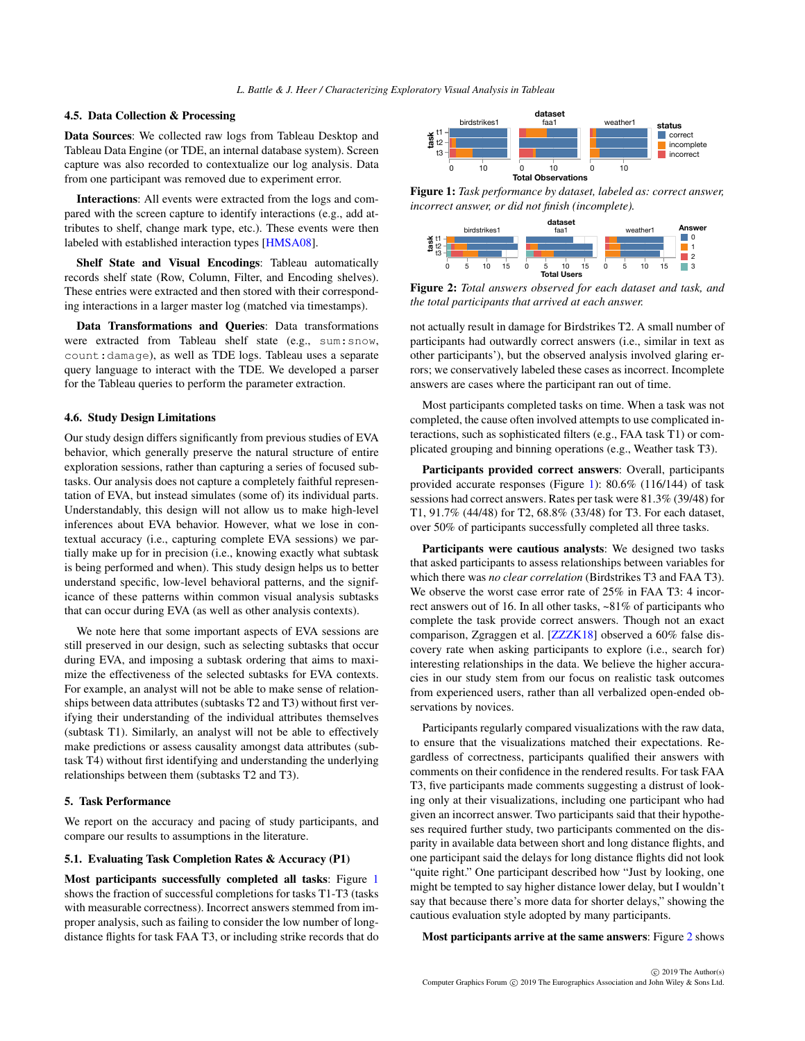# <span id="page-7-4"></span>4.5. Data Collection & Processing

Data Sources: We collected raw logs from Tableau Desktop and Tableau Data Engine (or TDE, an internal database system). Screen capture was also recorded to contextualize our log analysis. Data from one participant was removed due to experiment error.

Interactions: All events were extracted from the logs and compared with the screen capture to identify interactions (e.g., add attributes to shelf, change mark type, etc.). These events were then labeled with established interaction types [\[HMSA08\]](#page-13-1).

Shelf State and Visual Encodings: Tableau automatically records shelf state (Row, Column, Filter, and Encoding shelves). These entries were extracted and then stored with their corresponding interactions in a larger master log (matched via timestamps).

Data Transformations and Queries: Data transformations were extracted from Tableau shelf state (e.g., sum:snow, count:damage), as well as TDE logs. Tableau uses a separate query language to interact with the TDE. We developed a parser for the Tableau queries to perform the parameter extraction.

#### <span id="page-7-1"></span>4.6. Study Design Limitations

Our study design differs significantly from previous studies of EVA behavior, which generally preserve the natural structure of entire exploration sessions, rather than capturing a series of focused subtasks. Our analysis does not capture a completely faithful representation of EVA, but instead simulates (some of) its individual parts. Understandably, this design will not allow us to make high-level inferences about EVA behavior. However, what we lose in contextual accuracy (i.e., capturing complete EVA sessions) we partially make up for in precision (i.e., knowing exactly what subtask is being performed and when). This study design helps us to better understand specific, low-level behavioral patterns, and the significance of these patterns within common visual analysis subtasks that can occur during EVA (as well as other analysis contexts).

We note here that some important aspects of EVA sessions are still preserved in our design, such as selecting subtasks that occur during EVA, and imposing a subtask ordering that aims to maximize the effectiveness of the selected subtasks for EVA contexts. For example, an analyst will not be able to make sense of relationships between data attributes (subtasks T2 and T3) without first verifying their understanding of the individual attributes themselves (subtask T1). Similarly, an analyst will not be able to effectively make predictions or assess causality amongst data attributes (subtask T4) without first identifying and understanding the underlying relationships between them (subtasks T2 and T3).

## 5. Task Performance

We report on the accuracy and pacing of study participants, and compare our results to assumptions in the literature.

#### <span id="page-7-0"></span>5.1. Evaluating Task Completion Rates & Accuracy (P1)

Most participants successfully completed all tasks: Figure [1](#page-7-2) shows the fraction of successful completions for tasks T1-T3 (tasks with measurable correctness). Incorrect answers stemmed from improper analysis, such as failing to consider the low number of longdistance flights for task FAA T3, or including strike records that do

<span id="page-7-2"></span>

Figure 1: *Task performance by dataset, labeled as: correct answer, incorrect answer, or did not finish (incomplete).*

<span id="page-7-3"></span>

Figure 2: *Total answers observed for each dataset and task, and the total participants that arrived at each answer.*

not actually result in damage for Birdstrikes T2. A small number of participants had outwardly correct answers (i.e., similar in text as other participants'), but the observed analysis involved glaring errors; we conservatively labeled these cases as incorrect. Incomplete answers are cases where the participant ran out of time.

Most participants completed tasks on time. When a task was not completed, the cause often involved attempts to use complicated interactions, such as sophisticated filters (e.g., FAA task T1) or complicated grouping and binning operations (e.g., Weather task T3).

Participants provided correct answers: Overall, participants provided accurate responses (Figure [1\)](#page-7-2): 80.6% (116/144) of task sessions had correct answers. Rates per task were 81.3% (39/48) for T1, 91.7% (44/48) for T2, 68.8% (33/48) for T3. For each dataset, over 50% of participants successfully completed all three tasks.

Participants were cautious analysts: We designed two tasks that asked participants to assess relationships between variables for which there was *no clear correlation* (Birdstrikes T3 and FAA T3). We observe the worst case error rate of 25% in FAA T3: 4 incorrect answers out of 16. In all other tasks, ~81% of participants who complete the task provide correct answers. Though not an exact comparison, Zgraggen et al. [\[ZZZK18\]](#page-14-1) observed a 60% false discovery rate when asking participants to explore (i.e., search for) interesting relationships in the data. We believe the higher accuracies in our study stem from our focus on realistic task outcomes from experienced users, rather than all verbalized open-ended observations by novices.

Participants regularly compared visualizations with the raw data, to ensure that the visualizations matched their expectations. Regardless of correctness, participants qualified their answers with comments on their confidence in the rendered results. For task FAA T3, five participants made comments suggesting a distrust of looking only at their visualizations, including one participant who had given an incorrect answer. Two participants said that their hypotheses required further study, two participants commented on the disparity in available data between short and long distance flights, and one participant said the delays for long distance flights did not look "quite right." One participant described how "Just by looking, one might be tempted to say higher distance lower delay, but I wouldn't say that because there's more data for shorter delays," showing the cautious evaluation style adopted by many participants.

Most participants arrive at the same answers: Figure [2](#page-7-3) shows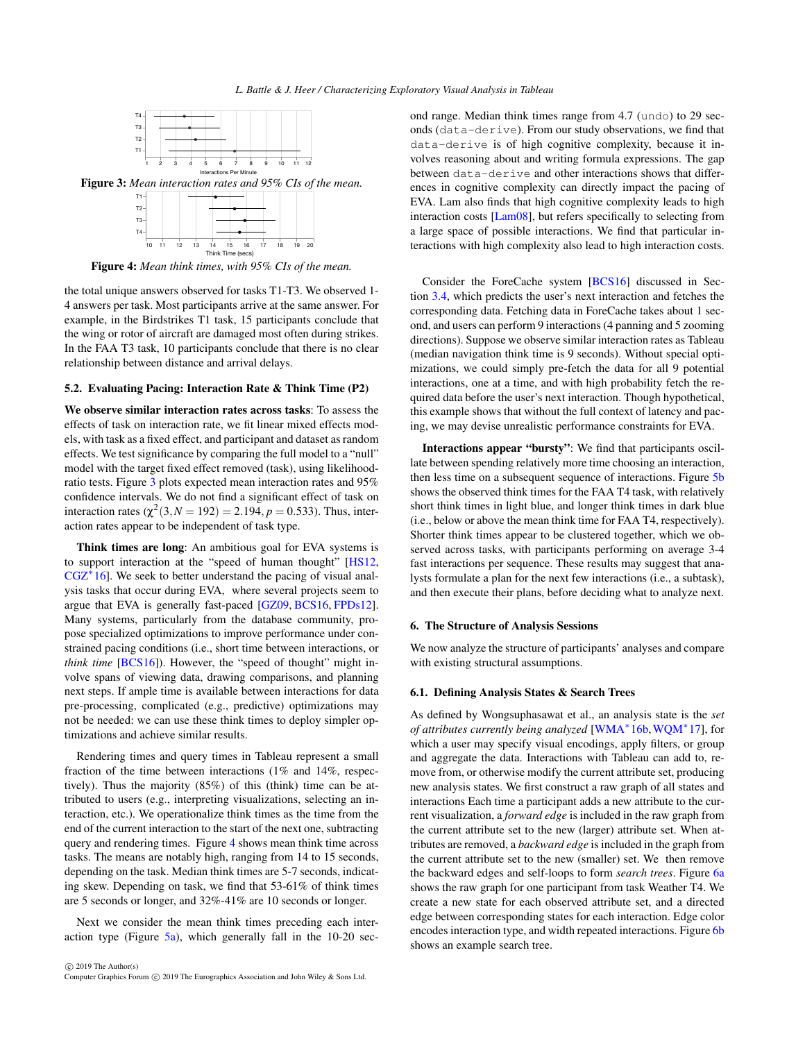<span id="page-8-4"></span><span id="page-8-2"></span>

<span id="page-8-3"></span>Figure 3: *Mean interaction rates and 95% CIs of the mean.*



Figure 4: *Mean think times, with 95% CIs of the mean.*

the total unique answers observed for tasks T1-T3. We observed 1- 4 answers per task. Most participants arrive at the same answer. For example, in the Birdstrikes T1 task, 15 participants conclude that the wing or rotor of aircraft are damaged most often during strikes. In the FAA T3 task, 10 participants conclude that there is no clear relationship between distance and arrival delays.

## <span id="page-8-1"></span>5.2. Evaluating Pacing: Interaction Rate & Think Time (P2)

We observe similar interaction rates across tasks: To assess the effects of task on interaction rate, we fit linear mixed effects models, with task as a fixed effect, and participant and dataset as random effects. We test significance by comparing the full model to a "null" model with the target fixed effect removed (task), using likelihoodratio tests. Figure [3](#page-8-2) plots expected mean interaction rates and 95% confidence intervals. We do not find a significant effect of task on interaction rates  $(\chi^2(3, N = 192) = 2.194, p = 0.533)$ . Thus, interaction rates appear to be independent of task type.

Think times are long: An ambitious goal for EVA systems is to support interaction at the "speed of human thought" [\[HS12,](#page-13-3) [CGZ](#page-12-6)<sup>\*</sup>16]. We seek to better understand the pacing of visual analysis tasks that occur during EVA, where several projects seem to argue that EVA is generally fast-paced [\[GZ09,](#page-13-9) [BCS16,](#page-12-4) [FPDs12\]](#page-12-3). Many systems, particularly from the database community, propose specialized optimizations to improve performance under constrained pacing conditions (i.e., short time between interactions, or *think time* [\[BCS16\]](#page-12-4)). However, the "speed of thought" might involve spans of viewing data, drawing comparisons, and planning next steps. If ample time is available between interactions for data pre-processing, complicated (e.g., predictive) optimizations may not be needed: we can use these think times to deploy simpler optimizations and achieve similar results.

Rendering times and query times in Tableau represent a small fraction of the time between interactions (1% and 14%, respectively). Thus the majority (85%) of this (think) time can be attributed to users (e.g., interpreting visualizations, selecting an interaction, etc.). We operationalize think times as the time from the end of the current interaction to the start of the next one, subtracting query and rendering times. Figure [4](#page-8-3) shows mean think time across tasks. The means are notably high, ranging from 14 to 15 seconds, depending on the task. Median think times are 5-7 seconds, indicating skew. Depending on task, we find that 53-61% of think times are 5 seconds or longer, and 32%-41% are 10 seconds or longer.

Next we consider the mean think times preceding each interaction type (Figure  $5a$ ), which generally fall in the 10-20 second range. Median think times range from 4.7 (undo) to 29 seconds (data-derive). From our study observations, we find that data-derive is of high cognitive complexity, because it involves reasoning about and writing formula expressions. The gap between data-derive and other interactions shows that differences in cognitive complexity can directly impact the pacing of EVA. Lam also finds that high cognitive complexity leads to high interaction costs [\[Lam08\]](#page-13-15), but refers specifically to selecting from a large space of possible interactions. We find that particular interactions with high complexity also lead to high interaction costs.

Consider the ForeCache system [\[BCS16\]](#page-12-4) discussed in Section [3.4,](#page-4-0) which predicts the user's next interaction and fetches the corresponding data. Fetching data in ForeCache takes about 1 second, and users can perform 9 interactions (4 panning and 5 zooming directions). Suppose we observe similar interaction rates as Tableau (median navigation think time is 9 seconds). Without special optimizations, we could simply pre-fetch the data for all 9 potential interactions, one at a time, and with high probability fetch the required data before the user's next interaction. Though hypothetical, this example shows that without the full context of latency and pacing, we may devise unrealistic performance constraints for EVA.

Interactions appear "bursty": We find that participants oscillate between spending relatively more time choosing an interaction, then less time on a subsequent sequence of interactions. Figure [5b](#page-9-3) shows the observed think times for the FAA T4 task, with relatively short think times in light blue, and longer think times in dark blue (i.e., below or above the mean think time for FAA T4, respectively). Shorter think times appear to be clustered together, which we observed across tasks, with participants performing on average 3-4 fast interactions per sequence. These results may suggest that analysts formulate a plan for the next few interactions (i.e., a subtask), and then execute their plans, before deciding what to analyze next.

## <span id="page-8-0"></span>6. The Structure of Analysis Sessions

We now analyze the structure of participants' analyses and compare with existing structural assumptions.

## 6.1. Defining Analysis States & Search Trees

As defined by Wongsuphasawat et al., an analysis state is the *set of attributes currently being analyzed* [\[WMA](#page-14-3)<sup>∗</sup> 16b,[WQM](#page-14-10)<sup>∗</sup> 17], for which a user may specify visual encodings, apply filters, or group and aggregate the data. Interactions with Tableau can add to, remove from, or otherwise modify the current attribute set, producing new analysis states. We first construct a raw graph of all states and interactions Each time a participant adds a new attribute to the current visualization, a *forward edge* is included in the raw graph from the current attribute set to the new (larger) attribute set. When attributes are removed, a *backward edge* is included in the graph from the current attribute set to the new (smaller) set. We then remove the backward edges and self-loops to form *search trees*. Figure [6a](#page-9-4) shows the raw graph for one participant from task Weather T4. We create a new state for each observed attribute set, and a directed edge between corresponding states for each interaction. Edge color encodes interaction type, and width repeated interactions. Figure [6b](#page-9-5) shows an example search tree.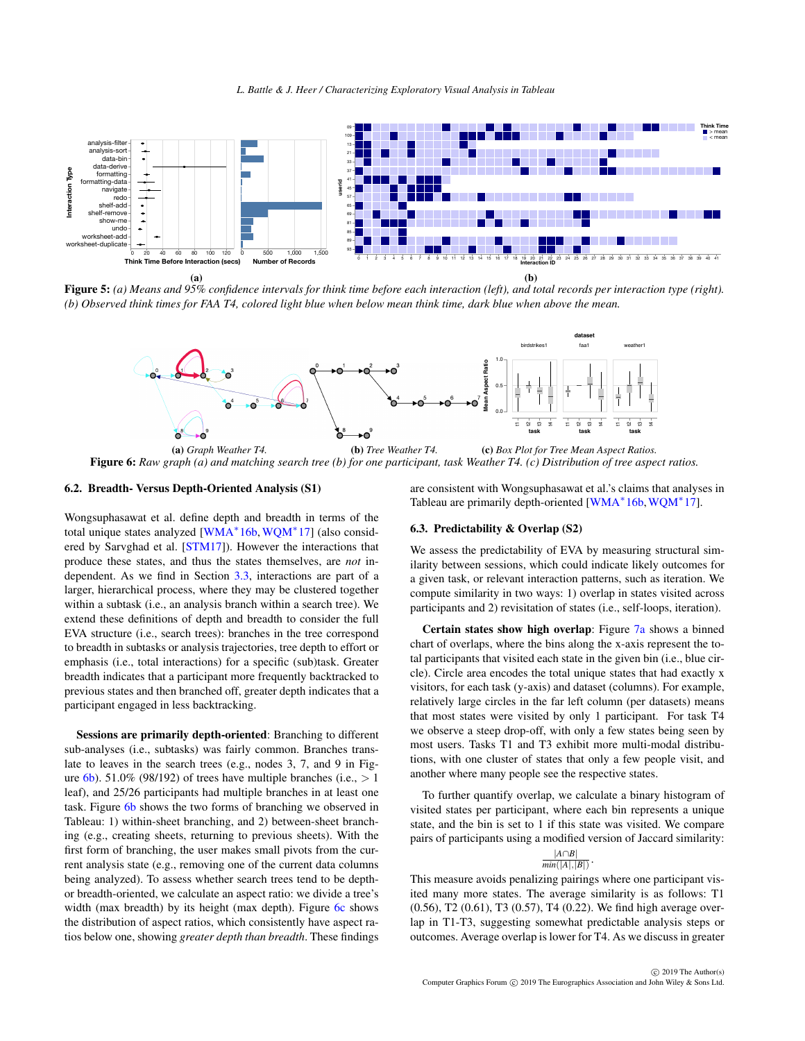<span id="page-9-7"></span><span id="page-9-2"></span>

<span id="page-9-4"></span>Figure 5: *(a) Means and 95% confidence intervals for think time before each interaction (left), and total records per interaction type (right). (b) Observed think times for FAA T4, colored light blue when below mean think time, dark blue when above the mean.*

<span id="page-9-3"></span>

(a) *Graph Weather T4.* (b) *Tree Weather T4.* (c) *Box Plot for Tree Mean Aspect Ratios.* Figure 6: *Raw graph (a) and matching search tree (b) for one participant, task Weather T4. (c) Distribution of tree aspect ratios.*

#### <span id="page-9-0"></span>6.2. Breadth- Versus Depth-Oriented Analysis (S1)

Wongsuphasawat et al. define depth and breadth in terms of the total unique states analyzed [\[WMA](#page-14-3)<sup>\*</sup>16b, [WQM](#page-14-10)<sup>\*</sup>17] (also considered by Sarvghad et al. [\[STM17\]](#page-14-9)). However the interactions that produce these states, and thus the states themselves, are *not* independent. As we find in Section [3.3,](#page-3-0) interactions are part of a larger, hierarchical process, where they may be clustered together within a subtask (i.e., an analysis branch within a search tree). We extend these definitions of depth and breadth to consider the full EVA structure (i.e., search trees): branches in the tree correspond to breadth in subtasks or analysis trajectories, tree depth to effort or emphasis (i.e., total interactions) for a specific (sub)task. Greater breadth indicates that a participant more frequently backtracked to previous states and then branched off, greater depth indicates that a participant engaged in less backtracking.

Sessions are primarily depth-oriented: Branching to different sub-analyses (i.e., subtasks) was fairly common. Branches translate to leaves in the search trees (e.g., nodes 3, 7, and 9 in Figure  $6b$ ). 51.0% (98/192) of trees have multiple branches (i.e.,  $> 1$ leaf), and 25/26 participants had multiple branches in at least one task. Figure [6b](#page-9-5) shows the two forms of branching we observed in Tableau: 1) within-sheet branching, and 2) between-sheet branching (e.g., creating sheets, returning to previous sheets). With the first form of branching, the user makes small pivots from the current analysis state (e.g., removing one of the current data columns being analyzed). To assess whether search trees tend to be depthor breadth-oriented, we calculate an aspect ratio: we divide a tree's width (max breadth) by its height (max depth). Figure [6c](#page-9-6) shows the distribution of aspect ratios, which consistently have aspect ratios below one, showing *greater depth than breadth*. These findings

<span id="page-9-6"></span><span id="page-9-5"></span>are consistent with Wongsuphasawat et al.'s claims that analyses in Tableau are primarily depth-oriented [\[WMA](#page-14-3)<sup>\*</sup>16b, WQM<sup>\*</sup>17].

## <span id="page-9-1"></span>6.3. Predictability & Overlap (S2)

We assess the predictability of EVA by measuring structural similarity between sessions, which could indicate likely outcomes for a given task, or relevant interaction patterns, such as iteration. We compute similarity in two ways: 1) overlap in states visited across participants and 2) revisitation of states (i.e., self-loops, iteration).

Certain states show high overlap: Figure [7a](#page-11-0) shows a binned chart of overlaps, where the bins along the x-axis represent the total participants that visited each state in the given bin (i.e., blue circle). Circle area encodes the total unique states that had exactly x visitors, for each task (y-axis) and dataset (columns). For example, relatively large circles in the far left column (per datasets) means that most states were visited by only 1 participant. For task T4 we observe a steep drop-off, with only a few states being seen by most users. Tasks T1 and T3 exhibit more multi-modal distributions, with one cluster of states that only a few people visit, and another where many people see the respective states.

To further quantify overlap, we calculate a binary histogram of visited states per participant, where each bin represents a unique state, and the bin is set to 1 if this state was visited. We compare pairs of participants using a modified version of Jaccard similarity:

$$
\frac{|A \cap B|}{min(|A|,|B|)}.
$$

This measure avoids penalizing pairings where one participant visited many more states. The average similarity is as follows: T1 (0.56), T2 (0.61), T3 (0.57), T4 (0.22). We find high average overlap in T1-T3, suggesting somewhat predictable analysis steps or outcomes. Average overlap is lower for T4. As we discuss in greater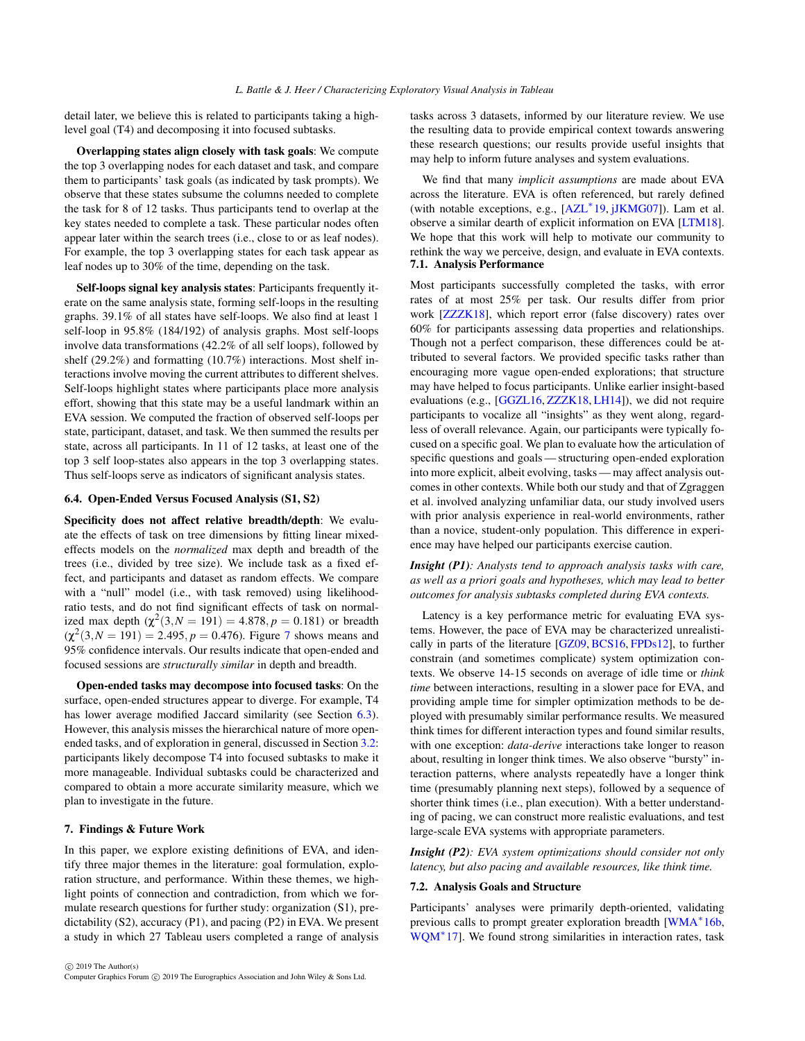<span id="page-10-0"></span>detail later, we believe this is related to participants taking a highlevel goal (T4) and decomposing it into focused subtasks.

Overlapping states align closely with task goals: We compute the top 3 overlapping nodes for each dataset and task, and compare them to participants' task goals (as indicated by task prompts). We observe that these states subsume the columns needed to complete the task for 8 of 12 tasks. Thus participants tend to overlap at the key states needed to complete a task. These particular nodes often appear later within the search trees (i.e., close to or as leaf nodes). For example, the top 3 overlapping states for each task appear as leaf nodes up to 30% of the time, depending on the task.

Self-loops signal key analysis states: Participants frequently iterate on the same analysis state, forming self-loops in the resulting graphs. 39.1% of all states have self-loops. We also find at least 1 self-loop in 95.8% (184/192) of analysis graphs. Most self-loops involve data transformations (42.2% of all self loops), followed by shelf (29.2%) and formatting (10.7%) interactions. Most shelf interactions involve moving the current attributes to different shelves. Self-loops highlight states where participants place more analysis effort, showing that this state may be a useful landmark within an EVA session. We computed the fraction of observed self-loops per state, participant, dataset, and task. We then summed the results per state, across all participants. In 11 of 12 tasks, at least one of the top 3 self loop-states also appears in the top 3 overlapping states. Thus self-loops serve as indicators of significant analysis states.

## 6.4. Open-Ended Versus Focused Analysis (S1, S2)

Specificity does not affect relative breadth/depth: We evaluate the effects of task on tree dimensions by fitting linear mixedeffects models on the *normalized* max depth and breadth of the trees (i.e., divided by tree size). We include task as a fixed effect, and participants and dataset as random effects. We compare with a "null" model (i.e., with task removed) using likelihoodratio tests, and do not find significant effects of task on normalized max depth  $(\chi^2(3, N = 191) = 4.878, p = 0.181)$  or breadth  $(\chi^2(3, N = 191) = 2.495, p = 0.476)$  $(\chi^2(3, N = 191) = 2.495, p = 0.476)$  $(\chi^2(3, N = 191) = 2.495, p = 0.476)$ . Figure 7 shows means and 95% confidence intervals. Our results indicate that open-ended and focused sessions are *structurally similar* in depth and breadth.

Open-ended tasks may decompose into focused tasks: On the surface, open-ended structures appear to diverge. For example, T4 has lower average modified Jaccard similarity (see Section [6.3\)](#page-9-1). However, this analysis misses the hierarchical nature of more openended tasks, and of exploration in general, discussed in Section [3.2:](#page-2-1) participants likely decompose T4 into focused subtasks to make it more manageable. Individual subtasks could be characterized and compared to obtain a more accurate similarity measure, which we plan to investigate in the future.

## 7. Findings & Future Work

In this paper, we explore existing definitions of EVA, and identify three major themes in the literature: goal formulation, exploration structure, and performance. Within these themes, we highlight points of connection and contradiction, from which we formulate research questions for further study: organization (S1), predictability (S2), accuracy (P1), and pacing (P2) in EVA. We present a study in which 27 Tableau users completed a range of analysis

tasks across 3 datasets, informed by our literature review. We use the resulting data to provide empirical context towards answering these research questions; our results provide useful insights that may help to inform future analyses and system evaluations.

We find that many *implicit assumptions* are made about EVA across the literature. EVA is often referenced, but rarely defined (with notable exceptions, e.g., [\[AZL](#page-12-2)<sup>\*</sup>19, [jJKMG07\]](#page-13-12)). Lam et al. observe a similar dearth of explicit information on EVA [\[LTM18\]](#page-13-0). We hope that this work will help to motivate our community to rethink the way we perceive, design, and evaluate in EVA contexts. 7.1. Analysis Performance

Most participants successfully completed the tasks, with error rates of at most 25% per task. Our results differ from prior work [\[ZZZK18\]](#page-14-1), which report error (false discovery) rates over 60% for participants assessing data properties and relationships. Though not a perfect comparison, these differences could be attributed to several factors. We provided specific tasks rather than encouraging more vague open-ended explorations; that structure may have helped to focus participants. Unlike earlier insight-based evaluations (e.g., [\[GGZL16,](#page-12-9) [ZZZK18,](#page-14-1) [LH14\]](#page-13-4)), we did not require participants to vocalize all "insights" as they went along, regardless of overall relevance. Again, our participants were typically focused on a specific goal. We plan to evaluate how the articulation of specific questions and goals — structuring open-ended exploration into more explicit, albeit evolving, tasks — may affect analysis outcomes in other contexts. While both our study and that of Zgraggen et al. involved analyzing unfamiliar data, our study involved users with prior analysis experience in real-world environments, rather than a novice, student-only population. This difference in experience may have helped our participants exercise caution.

*Insight (P1): Analysts tend to approach analysis tasks with care, as well as a priori goals and hypotheses, which may lead to better outcomes for analysis subtasks completed during EVA contexts.*

Latency is a key performance metric for evaluating EVA systems. However, the pace of EVA may be characterized unrealistically in parts of the literature [\[GZ09,](#page-13-9) [BCS16,](#page-12-4) [FPDs12\]](#page-12-3), to further constrain (and sometimes complicate) system optimization contexts. We observe 14-15 seconds on average of idle time or *think time* between interactions, resulting in a slower pace for EVA, and providing ample time for simpler optimization methods to be deployed with presumably similar performance results. We measured think times for different interaction types and found similar results, with one exception: *data-derive* interactions take longer to reason about, resulting in longer think times. We also observe "bursty" interaction patterns, where analysts repeatedly have a longer think time (presumably planning next steps), followed by a sequence of shorter think times (i.e., plan execution). With a better understanding of pacing, we can construct more realistic evaluations, and test large-scale EVA systems with appropriate parameters.

*Insight (P2): EVA system optimizations should consider not only latency, but also pacing and available resources, like think time.*

#### 7.2. Analysis Goals and Structure

Participants' analyses were primarily depth-oriented, validating previous calls to prompt greater exploration breadth [\[WMA](#page-14-3)<sup>\*</sup>16b, [WQM](#page-14-10)<sup>\*</sup>17]. We found strong similarities in interaction rates, task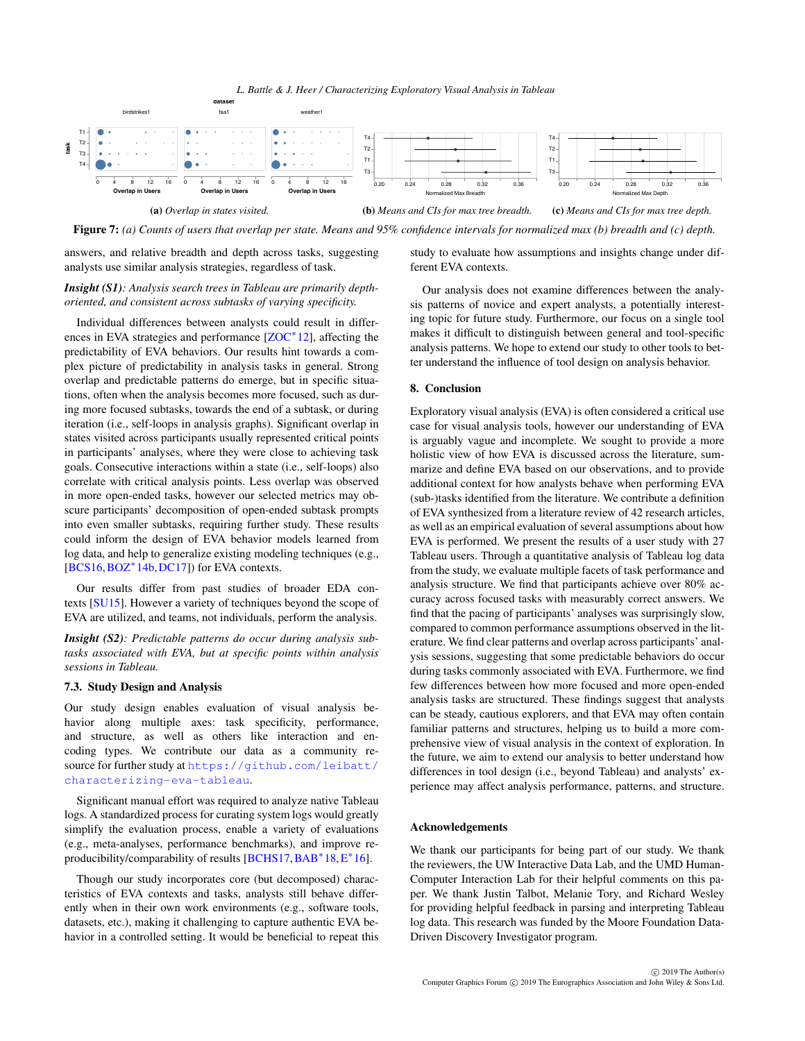<span id="page-11-1"></span><span id="page-11-0"></span>

Figure 7: *(a) Counts of users that overlap per state. Means and 95% confidence intervals for normalized max (b) breadth and (c) depth.*

answers, and relative breadth and depth across tasks, suggesting analysts use similar analysis strategies, regardless of task.

study to evaluate how assumptions and insights change under different EVA contexts.

# *Insight (S1): Analysis search trees in Tableau are primarily depthoriented, and consistent across subtasks of varying specificity.*

Individual differences between analysts could result in differ-ences in EVA strategies and performance [\[ZOC](#page-14-4)<sup>\*</sup>12], affecting the predictability of EVA behaviors. Our results hint towards a complex picture of predictability in analysis tasks in general. Strong overlap and predictable patterns do emerge, but in specific situations, often when the analysis becomes more focused, such as during more focused subtasks, towards the end of a subtask, or during iteration (i.e., self-loops in analysis graphs). Significant overlap in states visited across participants usually represented critical points in participants' analyses, where they were close to achieving task goals. Consecutive interactions within a state (i.e., self-loops) also correlate with critical analysis points. Less overlap was observed in more open-ended tasks, however our selected metrics may obscure participants' decomposition of open-ended subtask prompts into even smaller subtasks, requiring further study. These results could inform the design of EVA behavior models learned from log data, and help to generalize existing modeling techniques (e.g., [\[BCS16,](#page-12-4)[BOZ](#page-12-21)<sup>∗</sup> 14b,[DC17\]](#page-12-11)) for EVA contexts.

Our results differ from past studies of broader EDA contexts [\[SU15\]](#page-14-20). However a variety of techniques beyond the scope of EVA are utilized, and teams, not individuals, perform the analysis.

*Insight (S2): Predictable patterns do occur during analysis subtasks associated with EVA, but at specific points within analysis sessions in Tableau.*

# 7.3. Study Design and Analysis

Our study design enables evaluation of visual analysis behavior along multiple axes: task specificity, performance, and structure, as well as others like interaction and encoding types. We contribute our data as a community resource for further study at [https://github.com/leibatt/](https://github.com/leibatt/characterizing-eva-tableau) [characterizing-eva-tableau](https://github.com/leibatt/characterizing-eva-tableau).

Significant manual effort was required to analyze native Tableau logs. A standardized process for curating system logs would greatly simplify the evaluation process, enable a variety of evaluations (e.g., meta-analyses, performance benchmarks), and improve re-producibility/comparability of results [\[BCHS17,](#page-12-22) [BAB](#page-12-23)<sup>\*</sup>18, E<sup>\*</sup>[16\]](#page-12-24).

Though our study incorporates core (but decomposed) characteristics of EVA contexts and tasks, analysts still behave differently when in their own work environments (e.g., software tools, datasets, etc.), making it challenging to capture authentic EVA behavior in a controlled setting. It would be beneficial to repeat this

Our analysis does not examine differences between the analysis patterns of novice and expert analysts, a potentially interesting topic for future study. Furthermore, our focus on a single tool makes it difficult to distinguish between general and tool-specific analysis patterns. We hope to extend our study to other tools to better understand the influence of tool design on analysis behavior.

## 8. Conclusion

Exploratory visual analysis (EVA) is often considered a critical use case for visual analysis tools, however our understanding of EVA is arguably vague and incomplete. We sought to provide a more holistic view of how EVA is discussed across the literature, summarize and define EVA based on our observations, and to provide additional context for how analysts behave when performing EVA (sub-)tasks identified from the literature. We contribute a definition of EVA synthesized from a literature review of 42 research articles, as well as an empirical evaluation of several assumptions about how EVA is performed. We present the results of a user study with 27 Tableau users. Through a quantitative analysis of Tableau log data from the study, we evaluate multiple facets of task performance and analysis structure. We find that participants achieve over 80% accuracy across focused tasks with measurably correct answers. We find that the pacing of participants' analyses was surprisingly slow, compared to common performance assumptions observed in the literature. We find clear patterns and overlap across participants' analysis sessions, suggesting that some predictable behaviors do occur during tasks commonly associated with EVA. Furthermore, we find few differences between how more focused and more open-ended analysis tasks are structured. These findings suggest that analysts can be steady, cautious explorers, and that EVA may often contain familiar patterns and structures, helping us to build a more comprehensive view of visual analysis in the context of exploration. In the future, we aim to extend our analysis to better understand how differences in tool design (i.e., beyond Tableau) and analysts' experience may affect analysis performance, patterns, and structure.

#### Acknowledgements

We thank our participants for being part of our study. We thank the reviewers, the UW Interactive Data Lab, and the UMD Human-Computer Interaction Lab for their helpful comments on this paper. We thank Justin Talbot, Melanie Tory, and Richard Wesley for providing helpful feedback in parsing and interpreting Tableau log data. This research was funded by the Moore Foundation Data-Driven Discovery Investigator program.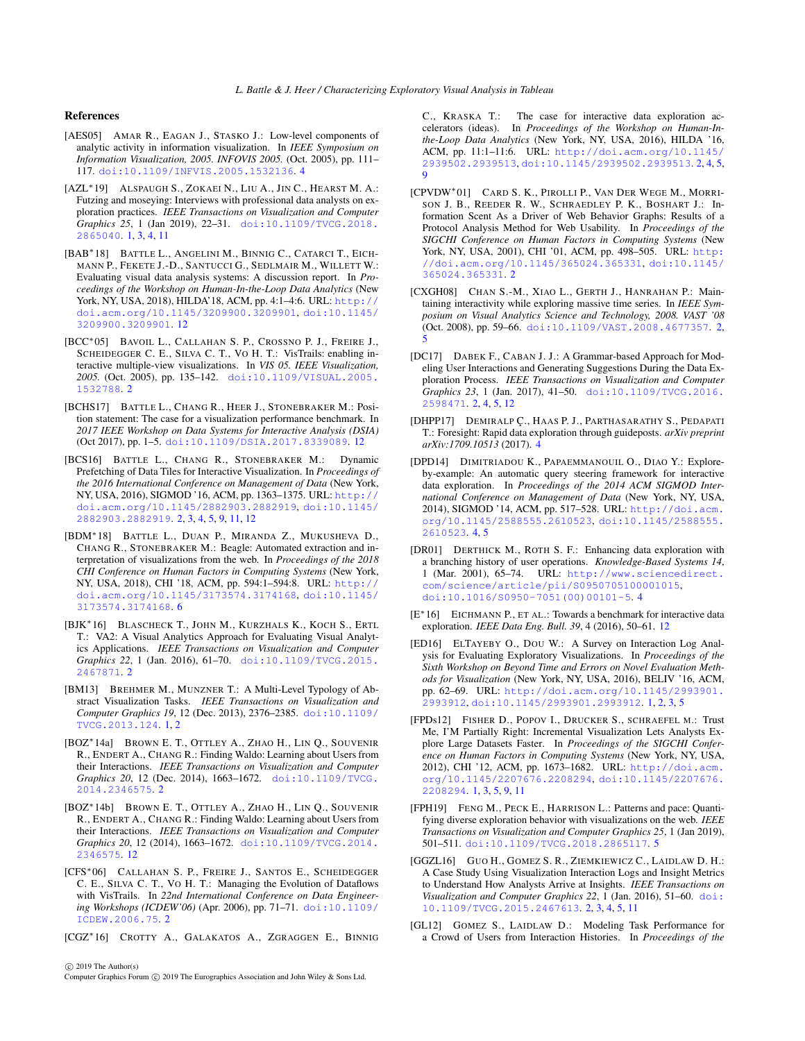#### References

- <span id="page-12-18"></span>[AES05] AMAR R., EAGAN J., STASKO J.: Low-level components of analytic activity in information visualization. In *IEEE Symposium on Information Visualization, 2005. INFOVIS 2005.* (Oct. 2005), pp. 111– 117. [doi:10.1109/INFVIS.2005.1532136](http://dx.doi.org/10.1109/INFVIS.2005.1532136). [4](#page-3-1)
- <span id="page-12-2"></span>[AZL∗19] ALSPAUGH S., ZOKAEI N., LIU A., JIN C., HEARST M. A.: Futzing and moseying: Interviews with professional data analysts on exploration practices. *IEEE Transactions on Visualization and Computer Graphics 25*, 1 (Jan 2019), 22–31. [doi:10.1109/TVCG.2018.](http://dx.doi.org/10.1109/TVCG.2018.2865040) [2865040](http://dx.doi.org/10.1109/TVCG.2018.2865040). [1,](#page-0-0) [3,](#page-2-2) [4,](#page-3-1) [11](#page-10-0)
- <span id="page-12-23"></span>[BAB∗18] BATTLE L., ANGELINI M., BINNIG C., CATARCI T., EICH-MANN P., FEKETE J.-D., SANTUCCI G., SEDLMAIR M., WILLETT W.: Evaluating visual data analysis systems: A discussion report. In *Proceedings of the Workshop on Human-In-the-Loop Data Analytics* (New York, NY, USA, 2018), HILDA'18, ACM, pp. 4:1–4:6. URL: [http://](http://doi.acm.org/10.1145/3209900.3209901) [doi.acm.org/10.1145/3209900.3209901](http://doi.acm.org/10.1145/3209900.3209901), [doi:10.1145/](http://dx.doi.org/10.1145/3209900.3209901) [3209900.3209901](http://dx.doi.org/10.1145/3209900.3209901). [12](#page-11-1)
- <span id="page-12-8"></span>[BCC∗05] BAVOIL L., CALLAHAN S. P., CROSSNO P. J., FREIRE J., SCHEIDEGGER C. E., SILVA C. T., VO H. T.: VisTrails: enabling interactive multiple-view visualizations. In *VIS 05. IEEE Visualization, 2005.* (Oct. 2005), pp. 135–142. [doi:10.1109/VISUAL.2005.](http://dx.doi.org/10.1109/VISUAL.2005.1532788) [1532788](http://dx.doi.org/10.1109/VISUAL.2005.1532788). [2](#page-1-0)
- <span id="page-12-22"></span>[BCHS17] BATTLE L., CHANG R., HEER J., STONEBRAKER M.: Position statement: The case for a visualization performance benchmark. In *2017 IEEE Workshop on Data Systems for Interactive Analysis (DSIA)* (Oct 2017), pp. 1–5. [doi:10.1109/DSIA.2017.8339089](http://dx.doi.org/10.1109/DSIA.2017.8339089). [12](#page-11-1)
- <span id="page-12-4"></span>[BCS16] BATTLE L., CHANG R., STONEBRAKER M.: Dynamic Prefetching of Data Tiles for Interactive Visualization. In *Proceedings of the 2016 International Conference on Management of Data* (New York, NY, USA, 2016), SIGMOD '16, ACM, pp. 1363–1375. URL: [http://](http://doi.acm.org/10.1145/2882903.2882919) [doi.acm.org/10.1145/2882903.2882919](http://doi.acm.org/10.1145/2882903.2882919), [doi:10.1145/](http://dx.doi.org/10.1145/2882903.2882919) [2882903.2882919](http://dx.doi.org/10.1145/2882903.2882919). [2,](#page-1-0) [3,](#page-2-2) [4,](#page-3-1) [5,](#page-4-1) [9,](#page-8-4) [11,](#page-10-0) [12](#page-11-1)
- <span id="page-12-20"></span>[BDM∗18] BATTLE L., DUAN P., MIRANDA Z., MUKUSHEVA D., CHANG R., STONEBRAKER M.: Beagle: Automated extraction and interpretation of visualizations from the web. In *Proceedings of the 2018 CHI Conference on Human Factors in Computing Systems* (New York, NY, USA, 2018), CHI '18, ACM, pp. 594:1–594:8. URL: [http://](http://doi.acm.org/10.1145/3173574.3174168) [doi.acm.org/10.1145/3173574.3174168](http://doi.acm.org/10.1145/3173574.3174168), [doi:10.1145/](http://dx.doi.org/10.1145/3173574.3174168) [3173574.3174168](http://dx.doi.org/10.1145/3173574.3174168). [6](#page-5-3)
- <span id="page-12-10"></span>[BJK∗16] BLASCHECK T., JOHN M., KURZHALS K., KOCH S., ERTL T.: VA2: A Visual Analytics Approach for Evaluating Visual Analytics Applications. *IEEE Transactions on Visualization and Computer Graphics 22*, 1 (Jan. 2016), 61–70. [doi:10.1109/TVCG.2015.](http://dx.doi.org/10.1109/TVCG.2015.2467871) [2467871](http://dx.doi.org/10.1109/TVCG.2015.2467871). [2](#page-1-0)
- <span id="page-12-0"></span>[BM13] BREHMER M., MUNZNER T.: A Multi-Level Typology of Abstract Visualization Tasks. *IEEE Transactions on Visualization and Computer Graphics 19*, 12 (Dec. 2013), 2376–2385. [doi:10.1109/](http://dx.doi.org/10.1109/TVCG.2013.124) [TVCG.2013.124](http://dx.doi.org/10.1109/TVCG.2013.124). [1,](#page-0-0) [2](#page-1-0)
- <span id="page-12-13"></span>[BOZ∗14a] BROWN E. T., OTTLEY A., ZHAO H., LIN Q., SOUVENIR R., ENDERT A., CHANG R.: Finding Waldo: Learning about Users from their Interactions. *IEEE Transactions on Visualization and Computer Graphics 20*, 12 (Dec. 2014), 1663–1672. [doi:10.1109/TVCG.](http://dx.doi.org/10.1109/TVCG.2014.2346575) [2014.2346575](http://dx.doi.org/10.1109/TVCG.2014.2346575). [2](#page-1-0)
- <span id="page-12-21"></span>[BOZ∗14b] BROWN E. T., OTTLEY A., ZHAO H., LIN Q., SOUVENIR R., ENDERT A., CHANG R.: Finding Waldo: Learning about Users from their Interactions. *IEEE Transactions on Visualization and Computer Graphics 20*, 12 (2014), 1663–1672. [doi:10.1109/TVCG.2014.](http://dx.doi.org/10.1109/TVCG.2014.2346575) [2346575](http://dx.doi.org/10.1109/TVCG.2014.2346575). [12](#page-11-1)
- <span id="page-12-7"></span>[CFS∗06] CALLAHAN S. P., FREIRE J., SANTOS E., SCHEIDEGGER C. E., SILVA C. T., VO H. T.: Managing the Evolution of Dataflows with VisTrails. In *22nd International Conference on Data Engineering Workshops (ICDEW'06)* (Apr. 2006), pp. 71–71. [doi:10.1109/](http://dx.doi.org/10.1109/ICDEW.2006.75) [ICDEW.2006.75](http://dx.doi.org/10.1109/ICDEW.2006.75). [2](#page-1-0)
- <span id="page-12-6"></span>[CGZ∗16] CROTTY A., GALAKATOS A., ZGRAGGEN E., BINNIG

 $\circ$  2019 The Author(s)

C., KRASKA T.: The case for interactive data exploration accelerators (ideas). In *Proceedings of the Workshop on Human-Inthe-Loop Data Analytics* (New York, NY, USA, 2016), HILDA '16, ACM, pp. 11:1–11:6. URL: [http://doi.acm.org/10.1145/](http://doi.acm.org/10.1145/2939502.2939513) [2939502.2939513](http://doi.acm.org/10.1145/2939502.2939513), [doi:10.1145/2939502.2939513](http://dx.doi.org/10.1145/2939502.2939513). [2,](#page-1-0) [4,](#page-3-1) [5,](#page-4-1) [9](#page-8-4)

- <span id="page-12-14"></span>[CPVDW∗01] CARD S. K., PIROLLI P., VAN DER WEGE M., MORRI-SON J. B., REEDER R. W., SCHRAEDLEY P. K., BOSHART J.: Information Scent As a Driver of Web Behavior Graphs: Results of a Protocol Analysis Method for Web Usability. In *Proceedings of the SIGCHI Conference on Human Factors in Computing Systems* (New York, NY, USA, 2001), CHI '01, ACM, pp. 498–505. URL: [http:](http://doi.acm.org/10.1145/365024.365331) [//doi.acm.org/10.1145/365024.365331](http://doi.acm.org/10.1145/365024.365331), [doi:10.1145/](http://dx.doi.org/10.1145/365024.365331) [365024.365331](http://dx.doi.org/10.1145/365024.365331). [2](#page-1-0)
- <span id="page-12-5"></span>[CXGH08] CHAN S.-M., XIAO L., GERTH J., HANRAHAN P.: Maintaining interactivity while exploring massive time series. In *IEEE Symposium on Visual Analytics Science and Technology, 2008. VAST '08* (Oct. 2008), pp. 59–66. [doi:10.1109/VAST.2008.4677357](http://dx.doi.org/10.1109/VAST.2008.4677357). [2,](#page-1-0) [5](#page-4-1)
- <span id="page-12-11"></span>[DC17] DABEK F., CABAN J. J.: A Grammar-based Approach for Modeling User Interactions and Generating Suggestions During the Data Exploration Process. *IEEE Transactions on Visualization and Computer Graphics 23*, 1 (Jan. 2017), 41–50. [doi:10.1109/TVCG.2016.](http://dx.doi.org/10.1109/TVCG.2016.2598471) [2598471](http://dx.doi.org/10.1109/TVCG.2016.2598471). [2,](#page-1-0) [4,](#page-3-1) [5,](#page-4-1) [12](#page-11-1)
- <span id="page-12-17"></span>[DHPP17] DEMIRALP Ç., HAAS P. J., PARTHASARATHY S., PEDAPATI T.: Foresight: Rapid data exploration through guideposts. *arXiv preprint arXiv:1709.10513* (2017). [4](#page-3-1)
- <span id="page-12-16"></span>[DPD14] DIMITRIADOU K., PAPAEMMANOUIL O., DIAO Y.: Exploreby-example: An automatic query steering framework for interactive data exploration. In *Proceedings of the 2014 ACM SIGMOD International Conference on Management of Data* (New York, NY, USA, 2014), SIGMOD '14, ACM, pp. 517–528. URL: [http://doi.acm.](http://doi.acm.org/10.1145/2588555.2610523) [org/10.1145/2588555.2610523](http://doi.acm.org/10.1145/2588555.2610523), [doi:10.1145/2588555.](http://dx.doi.org/10.1145/2588555.2610523) [2610523](http://dx.doi.org/10.1145/2588555.2610523). [4,](#page-3-1) [5](#page-4-1)
- <span id="page-12-15"></span>[DR01] DERTHICK M., ROTH S. F.: Enhancing data exploration with a branching history of user operations. *Knowledge-Based Systems 14*, 1 (Mar. 2001), 65–74. URL: [http://www.sciencedirect.](http://www.sciencedirect.com/science/article/pii/S0950705100001015) [com/science/article/pii/S0950705100001015](http://www.sciencedirect.com/science/article/pii/S0950705100001015), [doi:10.1016/S0950-7051\(00\)00101-5](http://dx.doi.org/10.1016/S0950-7051(00)00101-5). [4](#page-3-1)
- <span id="page-12-24"></span>[E∗16] EICHMANN P., ET AL.: Towards a benchmark for interactive data exploration. *IEEE Data Eng. Bull. 39*, 4 (2016), 50–61. [12](#page-11-1)
- <span id="page-12-1"></span>[ED16] ELTAYEBY O., DOU W.: A Survey on Interaction Log Analysis for Evaluating Exploratory Visualizations. In *Proceedings of the Sixth Workshop on Beyond Time and Errors on Novel Evaluation Methods for Visualization* (New York, NY, USA, 2016), BELIV '16, ACM, pp. 62–69. URL: [http://doi.acm.org/10.1145/2993901.](http://doi.acm.org/10.1145/2993901.2993912) [2993912](http://doi.acm.org/10.1145/2993901.2993912), [doi:10.1145/2993901.2993912](http://dx.doi.org/10.1145/2993901.2993912). [1,](#page-0-0) [2,](#page-1-0) [3,](#page-2-2) [5](#page-4-1)
- <span id="page-12-3"></span>[FPDs12] FISHER D., POPOV I., DRUCKER S., SCHRAEFEL M.: Trust Me, I'M Partially Right: Incremental Visualization Lets Analysts Explore Large Datasets Faster. In *Proceedings of the SIGCHI Conference on Human Factors in Computing Systems* (New York, NY, USA, 2012), CHI '12, ACM, pp. 1673–1682. URL: [http://doi.acm.](http://doi.acm.org/10.1145/2207676.2208294) [org/10.1145/2207676.2208294](http://doi.acm.org/10.1145/2207676.2208294), [doi:10.1145/2207676.](http://dx.doi.org/10.1145/2207676.2208294) [2208294](http://dx.doi.org/10.1145/2207676.2208294). [1,](#page-0-0) [3,](#page-2-2) [5,](#page-4-1) [9,](#page-8-4) [11](#page-10-0)
- <span id="page-12-19"></span>[FPH19] FENG M., PECK E., HARRISON L.: Patterns and pace: Quantifying diverse exploration behavior with visualizations on the web. *IEEE Transactions on Visualization and Computer Graphics 25*, 1 (Jan 2019), 501–511. [doi:10.1109/TVCG.2018.2865117](http://dx.doi.org/10.1109/TVCG.2018.2865117). [5](#page-4-1)
- <span id="page-12-9"></span>[GGZL16] GUO H., GOMEZ S. R., ZIEMKIEWICZ C., LAIDLAW D. H.: A Case Study Using Visualization Interaction Logs and Insight Metrics to Understand How Analysts Arrive at Insights. *IEEE Transactions on Visualization and Computer Graphics 22*, 1 (Jan. 2016), 51–60. [doi:](http://dx.doi.org/10.1109/TVCG.2015.2467613) [10.1109/TVCG.2015.2467613](http://dx.doi.org/10.1109/TVCG.2015.2467613). [2,](#page-1-0) [3,](#page-2-2) [4,](#page-3-1) [5,](#page-4-1) [11](#page-10-0)
- <span id="page-12-12"></span>[GL12] GOMEZ S., LAIDLAW D.: Modeling Task Performance for a Crowd of Users from Interaction Histories. In *Proceedings of the*

Computer Graphics Forum  $\copyright$  2019 The Eurographics Association and John Wiley & Sons Ltd.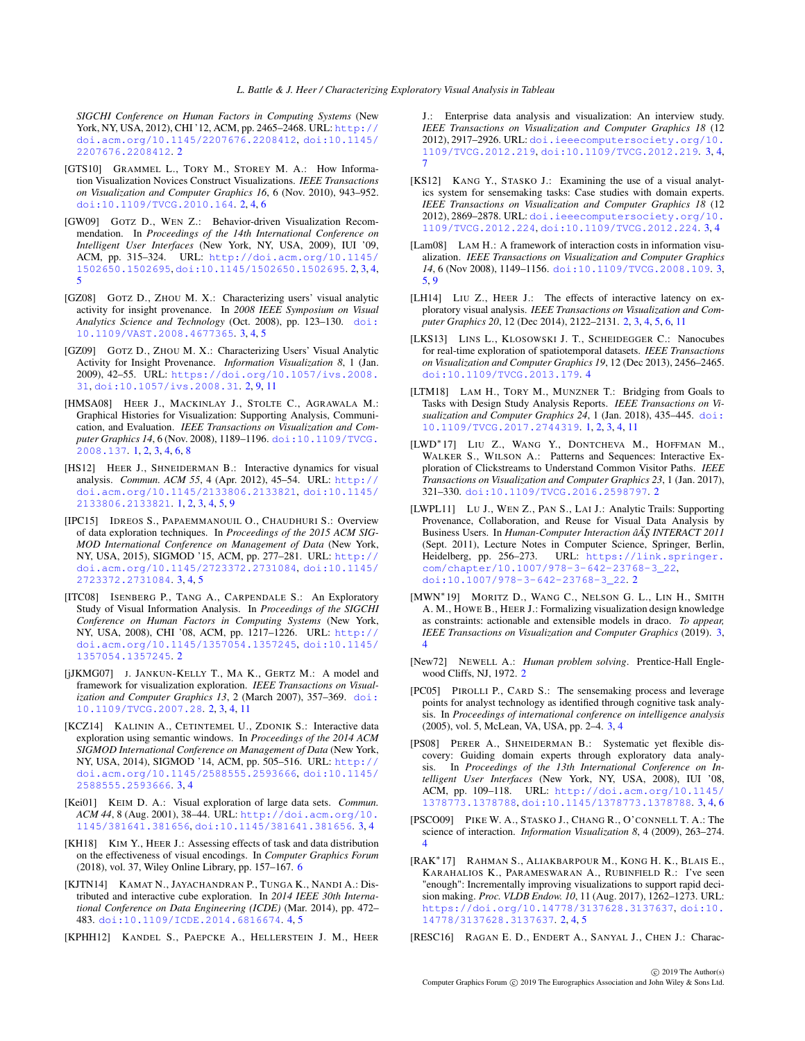*SIGCHI Conference on Human Factors in Computing Systems* (New York, NY, USA, 2012), CHI '12, ACM, pp. 2465–2468. URL: [http://](http://doi.acm.org/10.1145/2207676.2208412) [doi.acm.org/10.1145/2207676.2208412](http://doi.acm.org/10.1145/2207676.2208412), [doi:10.1145/](http://dx.doi.org/10.1145/2207676.2208412) [2207676.2208412](http://dx.doi.org/10.1145/2207676.2208412). [2](#page-1-0)

- <span id="page-13-8"></span>[GTS10] GRAMMEL L., TORY M., STOREY M. A.: How Information Visualization Novices Construct Visualizations. *IEEE Transactions on Visualization and Computer Graphics 16*, 6 (Nov. 2010), 943–952. [doi:10.1109/TVCG.2010.164](http://dx.doi.org/10.1109/TVCG.2010.164). [2,](#page-1-0) [4,](#page-3-1) [6](#page-5-3)
- <span id="page-13-10"></span>[GW09] GOTZ D., WEN Z.: Behavior-driven Visualization Recommendation. In *Proceedings of the 14th International Conference on Intelligent User Interfaces* (New York, NY, USA, 2009), IUI '09, ACM, pp. 315–324. URL: [http://doi.acm.org/10.1145/](http://doi.acm.org/10.1145/1502650.1502695) [1502650.1502695](http://doi.acm.org/10.1145/1502650.1502695), [doi:10.1145/1502650.1502695](http://dx.doi.org/10.1145/1502650.1502695). [2,](#page-1-0) [3,](#page-2-2) [4,](#page-3-1) [5](#page-4-1)
- <span id="page-13-21"></span>[GZ08] GOTZ D., ZHOU M. X.: Characterizing users' visual analytic activity for insight provenance. In *2008 IEEE Symposium on Visual Analytics Science and Technology* (Oct. 2008), pp. 123–130. [doi:](http://dx.doi.org/10.1109/VAST.2008.4677365) [10.1109/VAST.2008.4677365](http://dx.doi.org/10.1109/VAST.2008.4677365). [3,](#page-2-2) [4,](#page-3-1) [5](#page-4-1)
- <span id="page-13-9"></span>[GZ09] GOTZ D., ZHOU M. X.: Characterizing Users' Visual Analytic Activity for Insight Provenance. *Information Visualization 8*, 1 (Jan. 2009), 42–55. URL: [https://doi.org/10.1057/ivs.2008.](https://doi.org/10.1057/ivs.2008.31) [31](https://doi.org/10.1057/ivs.2008.31), [doi:10.1057/ivs.2008.31](http://dx.doi.org/10.1057/ivs.2008.31). [2,](#page-1-0) [9,](#page-8-4) [11](#page-10-0)
- <span id="page-13-1"></span>[HMSA08] HEER J., MACKINLAY J., STOLTE C., AGRAWALA M.: Graphical Histories for Visualization: Supporting Analysis, Communication, and Evaluation. *IEEE Transactions on Visualization and Computer Graphics 14*, 6 (Nov. 2008), 1189–1196. [doi:10.1109/TVCG.](http://dx.doi.org/10.1109/TVCG.2008.137) [2008.137](http://dx.doi.org/10.1109/TVCG.2008.137). [1,](#page-0-0) [2,](#page-1-0) [3,](#page-2-2) [4,](#page-3-1) [6,](#page-5-3) [8](#page-7-4)
- <span id="page-13-3"></span>[HS12] HEER J., SHNEIDERMAN B.: Interactive dynamics for visual analysis. *Commun. ACM 55*, 4 (Apr. 2012), 45–54. URL: [http://](http://doi.acm.org/10.1145/2133806.2133821) [doi.acm.org/10.1145/2133806.2133821](http://doi.acm.org/10.1145/2133806.2133821), [doi:10.1145/](http://dx.doi.org/10.1145/2133806.2133821) [2133806.2133821](http://dx.doi.org/10.1145/2133806.2133821). [1,](#page-0-0) [2,](#page-1-0) [3,](#page-2-2) [4,](#page-3-1) [5,](#page-4-1) [9](#page-8-4)
- <span id="page-13-20"></span>[IPC15] IDREOS S., PAPAEMMANOUIL O., CHAUDHURI S.: Overview of data exploration techniques. In *Proceedings of the 2015 ACM SIG-MOD International Conference on Management of Data* (New York, NY, USA, 2015), SIGMOD '15, ACM, pp. 277–281. URL: [http://](http://doi.acm.org/10.1145/2723372.2731084) [doi.acm.org/10.1145/2723372.2731084](http://doi.acm.org/10.1145/2723372.2731084), [doi:10.1145/](http://dx.doi.org/10.1145/2723372.2731084) [2723372.2731084](http://dx.doi.org/10.1145/2723372.2731084). [3,](#page-2-2) [4,](#page-3-1) [5](#page-4-1)
- <span id="page-13-7"></span>[ITC08] ISENBERG P., TANG A., CARPENDALE S.: An Exploratory Study of Visual Information Analysis. In *Proceedings of the SIGCHI Conference on Human Factors in Computing Systems* (New York, NY, USA, 2008), CHI '08, ACM, pp. 1217–1226. URL: [http://](http://doi.acm.org/10.1145/1357054.1357245) [doi.acm.org/10.1145/1357054.1357245](http://doi.acm.org/10.1145/1357054.1357245), [doi:10.1145/](http://dx.doi.org/10.1145/1357054.1357245) [1357054.1357245](http://dx.doi.org/10.1145/1357054.1357245). [2](#page-1-0)
- <span id="page-13-12"></span>[jJKMG07] J. JANKUN-KELLY T., MA K., GERTZ M.: A model and framework for visualization exploration. *IEEE Transactions on Visualization and Computer Graphics 13*, 2 (March 2007), 357–369. [doi:](http://dx.doi.org/10.1109/TVCG.2007.28) [10.1109/TVCG.2007.28](http://dx.doi.org/10.1109/TVCG.2007.28). [2,](#page-1-0) [3,](#page-2-2) [4,](#page-3-1) [11](#page-10-0)
- <span id="page-13-23"></span>[KCZ14] KALININ A., CETINTEMEL U., ZDONIK S.: Interactive data exploration using semantic windows. In *Proceedings of the 2014 ACM SIGMOD International Conference on Management of Data* (New York, NY, USA, 2014), SIGMOD '14, ACM, pp. 505–516. URL: [http://](http://doi.acm.org/10.1145/2588555.2593666) [doi.acm.org/10.1145/2588555.2593666](http://doi.acm.org/10.1145/2588555.2593666), [doi:10.1145/](http://dx.doi.org/10.1145/2588555.2593666) [2588555.2593666](http://dx.doi.org/10.1145/2588555.2593666). [3,](#page-2-2) [4](#page-3-1)
- <span id="page-13-19"></span>[Kei01] KEIM D. A.: Visual exploration of large data sets. *Commun. ACM 44*, 8 (Aug. 2001), 38–44. URL: [http://doi.acm.org/10.](http://doi.acm.org/10.1145/381641.381656) [1145/381641.381656](http://doi.acm.org/10.1145/381641.381656), [doi:10.1145/381641.381656](http://dx.doi.org/10.1145/381641.381656). [3,](#page-2-2) [4](#page-3-1)
- <span id="page-13-27"></span>[KH18] KIM Y., HEER J.: Assessing effects of task and data distribution on the effectiveness of visual encodings. In *Computer Graphics Forum* (2018), vol. 37, Wiley Online Library, pp. 157–167. [6](#page-5-3)
- <span id="page-13-25"></span>[KJTN14] KAMAT N., JAYACHANDRAN P., TUNGA K., NANDI A.: Distributed and interactive cube exploration. In *2014 IEEE 30th International Conference on Data Engineering (ICDE)* (Mar. 2014), pp. 472– 483. [doi:10.1109/ICDE.2014.6816674](http://dx.doi.org/10.1109/ICDE.2014.6816674). [4,](#page-3-1) [5](#page-4-1)
- <span id="page-13-14"></span>[KPHH12] KANDEL S., PAEPCKE A., HELLERSTEIN J. M., HEER

J.: Enterprise data analysis and visualization: An interview study. *IEEE Transactions on Visualization and Computer Graphics 18* (12 2012), 2917–2926. URL: [doi.ieeecomputersociety.org/10.](doi.ieeecomputersociety.org/10.1109/TVCG.2012.219) [1109/TVCG.2012.219](doi.ieeecomputersociety.org/10.1109/TVCG.2012.219), [doi:10.1109/TVCG.2012.219](http://dx.doi.org/10.1109/TVCG.2012.219). [3,](#page-2-2) [4,](#page-3-1) [7](#page-6-2)

- <span id="page-13-16"></span>[KS12] KANG Y., STASKO J.: Examining the use of a visual analytics system for sensemaking tasks: Case studies with domain experts. *IEEE Transactions on Visualization and Computer Graphics 18* (12 2012), 2869–2878. URL: [doi.ieeecomputersociety.org/10.](doi.ieeecomputersociety.org/10.1109/TVCG.2012.224) [1109/TVCG.2012.224](doi.ieeecomputersociety.org/10.1109/TVCG.2012.224), [doi:10.1109/TVCG.2012.224](http://dx.doi.org/10.1109/TVCG.2012.224). [3,](#page-2-2) [4](#page-3-1)
- <span id="page-13-15"></span>[Lam08] LAM H.: A framework of interaction costs in information visualization. *IEEE Transactions on Visualization and Computer Graphics 14*, 6 (Nov 2008), 1149–1156. [doi:10.1109/TVCG.2008.109](http://dx.doi.org/10.1109/TVCG.2008.109). [3,](#page-2-2) [5,](#page-4-1) [9](#page-8-4)
- <span id="page-13-4"></span>[LH14] LIU Z., HEER J.: The effects of interactive latency on exploratory visual analysis. *IEEE Transactions on Visualization and Computer Graphics 20*, 12 (Dec 2014), 2122–2131. [2,](#page-1-0) [3,](#page-2-2) [4,](#page-3-1) [5,](#page-4-1) [6,](#page-5-3) [11](#page-10-0)
- <span id="page-13-24"></span>[LKS13] LINS L., KLOSOWSKI J. T., SCHEIDEGGER C.: Nanocubes for real-time exploration of spatiotemporal datasets. *IEEE Transactions on Visualization and Computer Graphics 19*, 12 (Dec 2013), 2456–2465. [doi:10.1109/TVCG.2013.179](http://dx.doi.org/10.1109/TVCG.2013.179). [4](#page-3-1)
- <span id="page-13-0"></span>[LTM18] LAM H., TORY M., MUNZNER T.: Bridging from Goals to Tasks with Design Study Analysis Reports. *IEEE Transactions on Visualization and Computer Graphics 24*, 1 (Jan. 2018), 435–445. [doi:](http://dx.doi.org/10.1109/TVCG.2017.2744319) [10.1109/TVCG.2017.2744319](http://dx.doi.org/10.1109/TVCG.2017.2744319). [1,](#page-0-0) [2,](#page-1-0) [3,](#page-2-2) [4,](#page-3-1) [11](#page-10-0)
- <span id="page-13-13"></span>[LWD∗17] LIU Z., WANG Y., DONTCHEVA M., HOFFMAN M., WALKER S., WILSON A.: Patterns and Sequences: Interactive Exploration of Clickstreams to Understand Common Visitor Paths. *IEEE Transactions on Visualization and Computer Graphics 23*, 1 (Jan. 2017), 321–330. [doi:10.1109/TVCG.2016.2598797](http://dx.doi.org/10.1109/TVCG.2016.2598797). [2](#page-1-0)
- <span id="page-13-6"></span>[LWPL11] LU J., WEN Z., PAN S., LAI J.: Analytic Trails: Supporting Provenance, Collaboration, and Reuse for Visual Data Analysis by Business Users. In *Human-Computer Interaction âAŞ INTERACT 2011* (Sept. 2011), Lecture Notes in Computer Science, Springer, Berlin, Heidelberg, pp. 256–273. URL: [https://link.springer.](https://link.springer.com/chapter/10.1007/978-3-642-23768-3_22) [com/chapter/10.1007/978-3-642-23768-3\\_22](https://link.springer.com/chapter/10.1007/978-3-642-23768-3_22), [doi:10.1007/978-3-642-23768-3\\_22](http://dx.doi.org/10.1007/978-3-642-23768-3_22). [2](#page-1-0)
- <span id="page-13-18"></span>[MWN∗19] MORITZ D., WANG C., NELSON G. L., LIN H., SMITH A. M., HOWE B., HEER J.: Formalizing visualization design knowledge as constraints: actionable and extensible models in draco. *To appear, IEEE Transactions on Visualization and Computer Graphics* (2019). [3,](#page-2-2) [4](#page-3-1)
- <span id="page-13-11"></span>[New72] NEWELL A.: *Human problem solving*. Prentice-Hall Englewood Cliffs, NJ, 1972. [2](#page-1-0)
- <span id="page-13-17"></span>[PC05] PIROLLI P., CARD S.: The sensemaking process and leverage points for analyst technology as identified through cognitive task analysis. In *Proceedings of international conference on intelligence analysis* (2005), vol. 5, McLean, VA, USA, pp. 2–4. [3,](#page-2-2) [4](#page-3-1)
- <span id="page-13-22"></span>[PS08] PERER A., SHNEIDERMAN B.: Systematic yet flexible discovery: Guiding domain experts through exploratory data analysis. In *Proceedings of the 13th International Conference on Intelligent User Interfaces* (New York, NY, USA, 2008), IUI '08, ACM, pp. 109–118. URL: [http://doi.acm.org/10.1145/](http://doi.acm.org/10.1145/1378773.1378788) [1378773.1378788](http://doi.acm.org/10.1145/1378773.1378788), [doi:10.1145/1378773.1378788](http://dx.doi.org/10.1145/1378773.1378788). [3,](#page-2-2) [4,](#page-3-1) [6](#page-5-3)
- <span id="page-13-26"></span>[PSCO09] PIKE W. A., STASKO J., CHANG R., O'CONNELL T. A.: The science of interaction. *Information Visualization 8*, 4 (2009), 263–274. [4](#page-3-1)
- <span id="page-13-5"></span>[RAK∗17] RAHMAN S., ALIAKBARPOUR M., KONG H. K., BLAIS E., KARAHALIOS K., PARAMESWARAN A., RUBINFIELD R.: I've seen "enough": Incrementally improving visualizations to support rapid decision making. *Proc. VLDB Endow. 10*, 11 (Aug. 2017), 1262–1273. URL: <https://doi.org/10.14778/3137628.3137637>, [doi:10.](http://dx.doi.org/10.14778/3137628.3137637) [14778/3137628.3137637](http://dx.doi.org/10.14778/3137628.3137637). [2,](#page-1-0) [4,](#page-3-1) [5](#page-4-1)
- <span id="page-13-2"></span>[RESC16] RAGAN E. D., ENDERT A., SANYAL J., CHEN J.: Charac-